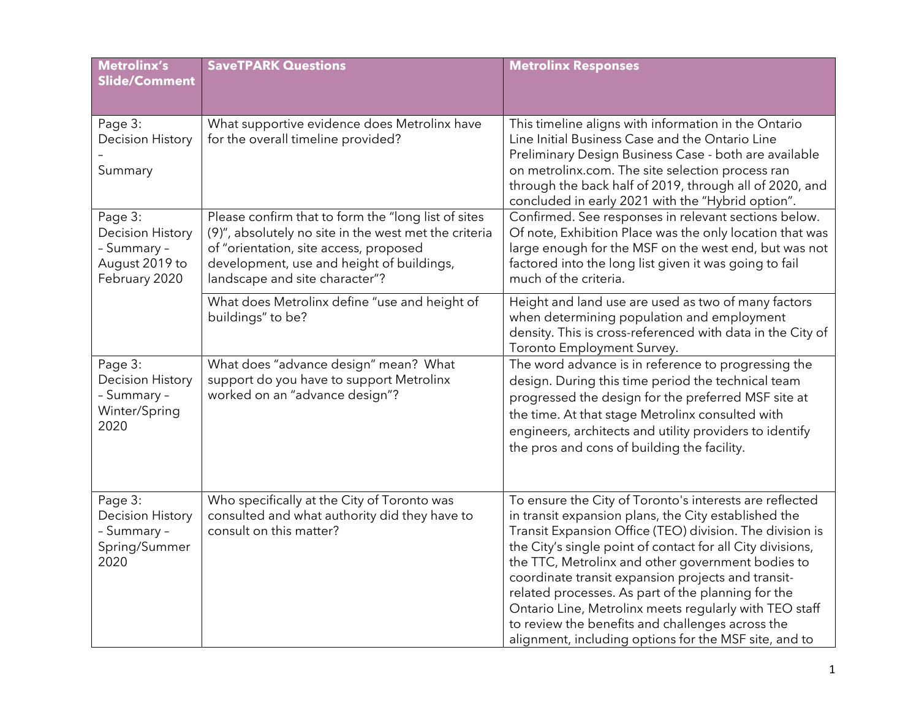| <b>Metrolinx's</b><br>Slide/Comment                                                  | <b>SaveTPARK Questions</b>                                                                                                                                                                                                            | <b>Metrolinx Responses</b>                                                                                                                                                                                                                                                                                                                                                                                                                                                                                                                                                        |
|--------------------------------------------------------------------------------------|---------------------------------------------------------------------------------------------------------------------------------------------------------------------------------------------------------------------------------------|-----------------------------------------------------------------------------------------------------------------------------------------------------------------------------------------------------------------------------------------------------------------------------------------------------------------------------------------------------------------------------------------------------------------------------------------------------------------------------------------------------------------------------------------------------------------------------------|
| Page 3:<br><b>Decision History</b><br>Summary                                        | What supportive evidence does Metrolinx have<br>for the overall timeline provided?                                                                                                                                                    | This timeline aligns with information in the Ontario<br>Line Initial Business Case and the Ontario Line<br>Preliminary Design Business Case - both are available<br>on metrolinx.com. The site selection process ran<br>through the back half of 2019, through all of 2020, and<br>concluded in early 2021 with the "Hybrid option".                                                                                                                                                                                                                                              |
| Page 3:<br><b>Decision History</b><br>- Summary -<br>August 2019 to<br>February 2020 | Please confirm that to form the "long list of sites<br>(9)", absolutely no site in the west met the criteria<br>of "orientation, site access, proposed<br>development, use and height of buildings,<br>landscape and site character"? | Confirmed. See responses in relevant sections below.<br>Of note, Exhibition Place was the only location that was<br>large enough for the MSF on the west end, but was not<br>factored into the long list given it was going to fail<br>much of the criteria.                                                                                                                                                                                                                                                                                                                      |
|                                                                                      | What does Metrolinx define "use and height of<br>buildings" to be?                                                                                                                                                                    | Height and land use are used as two of many factors<br>when determining population and employment<br>density. This is cross-referenced with data in the City of<br>Toronto Employment Survey.                                                                                                                                                                                                                                                                                                                                                                                     |
| Page 3:<br><b>Decision History</b><br>- Summary -<br>Winter/Spring<br>2020           | What does "advance design" mean? What<br>support do you have to support Metrolinx<br>worked on an "advance design"?                                                                                                                   | The word advance is in reference to progressing the<br>design. During this time period the technical team<br>progressed the design for the preferred MSF site at<br>the time. At that stage Metrolinx consulted with<br>engineers, architects and utility providers to identify<br>the pros and cons of building the facility.                                                                                                                                                                                                                                                    |
| Page 3:<br><b>Decision History</b><br>- Summary -<br>Spring/Summer<br>2020           | Who specifically at the City of Toronto was<br>consulted and what authority did they have to<br>consult on this matter?                                                                                                               | To ensure the City of Toronto's interests are reflected<br>in transit expansion plans, the City established the<br>Transit Expansion Office (TEO) division. The division is<br>the City's single point of contact for all City divisions,<br>the TTC, Metrolinx and other government bodies to<br>coordinate transit expansion projects and transit-<br>related processes. As part of the planning for the<br>Ontario Line, Metrolinx meets regularly with TEO staff<br>to review the benefits and challenges across the<br>alignment, including options for the MSF site, and to |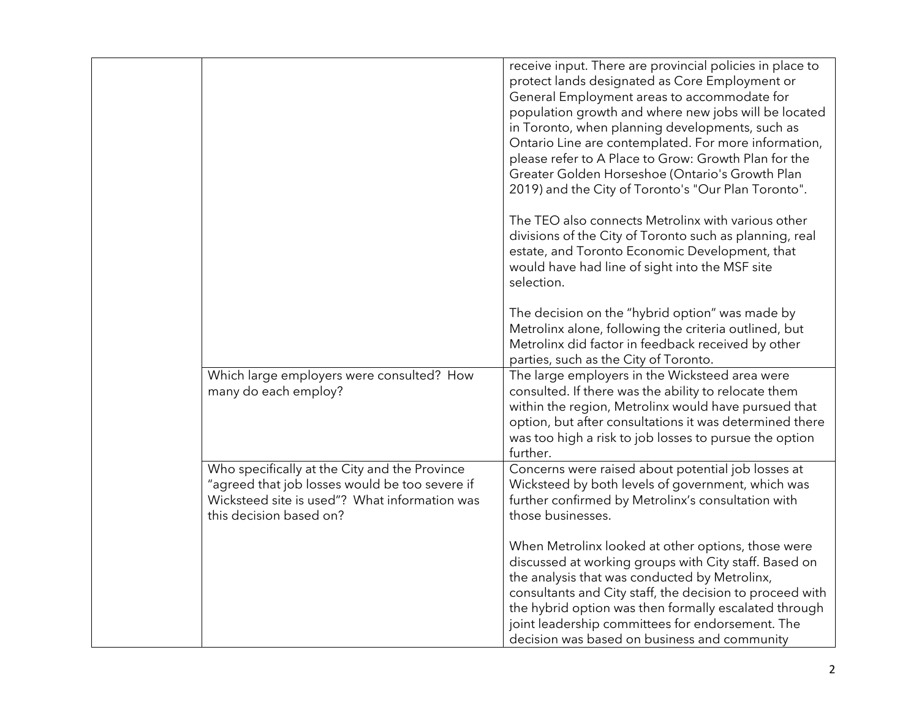|                                                                                                                                                                             | receive input. There are provincial policies in place to<br>protect lands designated as Core Employment or<br>General Employment areas to accommodate for<br>population growth and where new jobs will be located<br>in Toronto, when planning developments, such as<br>Ontario Line are contemplated. For more information,<br>please refer to A Place to Grow: Growth Plan for the<br>Greater Golden Horseshoe (Ontario's Growth Plan<br>2019) and the City of Toronto's "Our Plan Toronto".<br>The TEO also connects Metrolinx with various other<br>divisions of the City of Toronto such as planning, real<br>estate, and Toronto Economic Development, that<br>would have had line of sight into the MSF site<br>selection.<br>The decision on the "hybrid option" was made by |
|-----------------------------------------------------------------------------------------------------------------------------------------------------------------------------|--------------------------------------------------------------------------------------------------------------------------------------------------------------------------------------------------------------------------------------------------------------------------------------------------------------------------------------------------------------------------------------------------------------------------------------------------------------------------------------------------------------------------------------------------------------------------------------------------------------------------------------------------------------------------------------------------------------------------------------------------------------------------------------|
|                                                                                                                                                                             | Metrolinx alone, following the criteria outlined, but<br>Metrolinx did factor in feedback received by other<br>parties, such as the City of Toronto.                                                                                                                                                                                                                                                                                                                                                                                                                                                                                                                                                                                                                                 |
| Which large employers were consulted? How<br>many do each employ?                                                                                                           | The large employers in the Wicksteed area were<br>consulted. If there was the ability to relocate them<br>within the region, Metrolinx would have pursued that<br>option, but after consultations it was determined there<br>was too high a risk to job losses to pursue the option<br>further.                                                                                                                                                                                                                                                                                                                                                                                                                                                                                      |
| Who specifically at the City and the Province<br>"agreed that job losses would be too severe if<br>Wicksteed site is used"? What information was<br>this decision based on? | Concerns were raised about potential job losses at<br>Wicksteed by both levels of government, which was<br>further confirmed by Metrolinx's consultation with<br>those businesses.                                                                                                                                                                                                                                                                                                                                                                                                                                                                                                                                                                                                   |
|                                                                                                                                                                             | When Metrolinx looked at other options, those were<br>discussed at working groups with City staff. Based on<br>the analysis that was conducted by Metrolinx,<br>consultants and City staff, the decision to proceed with<br>the hybrid option was then formally escalated through<br>joint leadership committees for endorsement. The<br>decision was based on business and community                                                                                                                                                                                                                                                                                                                                                                                                |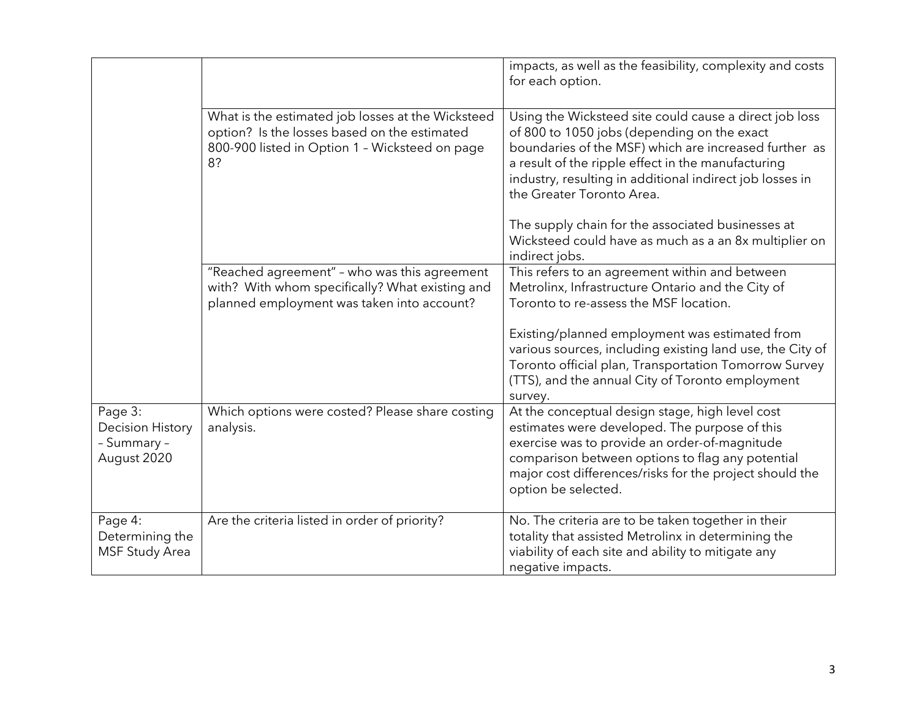|                                                                  |                                                                                                                                                           | impacts, as well as the feasibility, complexity and costs<br>for each option.                                                                                                                                                                                                                                 |
|------------------------------------------------------------------|-----------------------------------------------------------------------------------------------------------------------------------------------------------|---------------------------------------------------------------------------------------------------------------------------------------------------------------------------------------------------------------------------------------------------------------------------------------------------------------|
|                                                                  | What is the estimated job losses at the Wicksteed<br>option? Is the losses based on the estimated<br>800-900 listed in Option 1 - Wicksteed on page<br>8? | Using the Wicksteed site could cause a direct job loss<br>of 800 to 1050 jobs (depending on the exact<br>boundaries of the MSF) which are increased further as<br>a result of the ripple effect in the manufacturing<br>industry, resulting in additional indirect job losses in<br>the Greater Toronto Area. |
|                                                                  |                                                                                                                                                           | The supply chain for the associated businesses at<br>Wicksteed could have as much as a an 8x multiplier on<br>indirect jobs.                                                                                                                                                                                  |
|                                                                  | "Reached agreement" - who was this agreement<br>with? With whom specifically? What existing and<br>planned employment was taken into account?             | This refers to an agreement within and between<br>Metrolinx, Infrastructure Ontario and the City of<br>Toronto to re-assess the MSF location.                                                                                                                                                                 |
|                                                                  |                                                                                                                                                           | Existing/planned employment was estimated from<br>various sources, including existing land use, the City of<br>Toronto official plan, Transportation Tomorrow Survey<br>(TTS), and the annual City of Toronto employment<br>survey.                                                                           |
| Page 3:<br><b>Decision History</b><br>- Summary -<br>August 2020 | Which options were costed? Please share costing<br>analysis.                                                                                              | At the conceptual design stage, high level cost<br>estimates were developed. The purpose of this<br>exercise was to provide an order-of-magnitude<br>comparison between options to flag any potential<br>major cost differences/risks for the project should the<br>option be selected.                       |
| Page 4:<br>Determining the<br><b>MSF Study Area</b>              | Are the criteria listed in order of priority?                                                                                                             | No. The criteria are to be taken together in their<br>totality that assisted Metrolinx in determining the<br>viability of each site and ability to mitigate any<br>negative impacts.                                                                                                                          |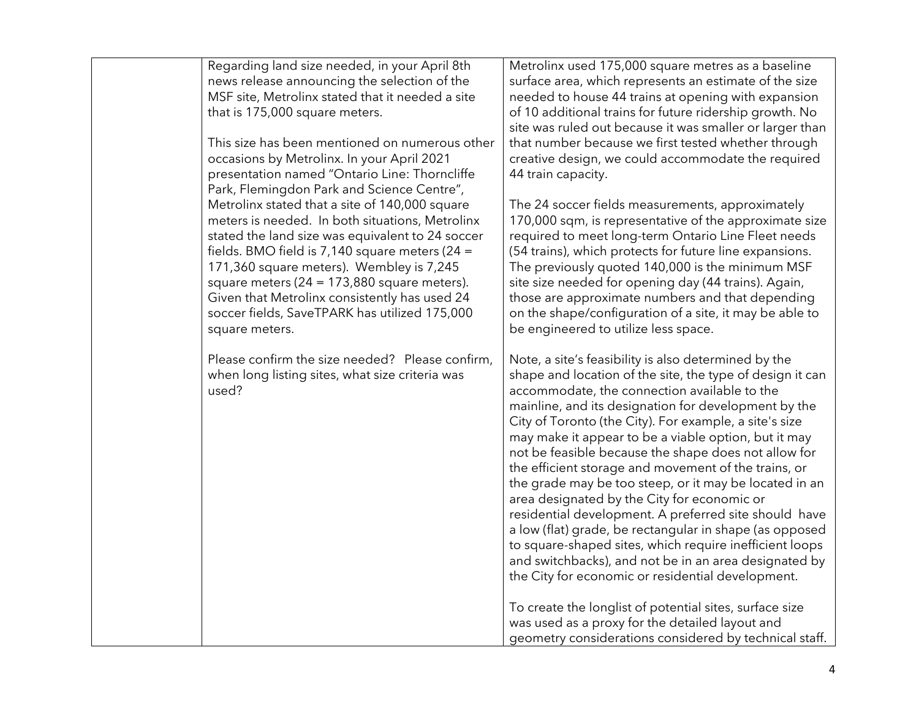| Regarding land size needed, in your April 8th<br>news release announcing the selection of the<br>MSF site, Metrolinx stated that it needed a site<br>that is 175,000 square meters.<br>This size has been mentioned on numerous other<br>occasions by Metrolinx. In your April 2021<br>presentation named "Ontario Line: Thorncliffe                                                                                                                                   | Metrolinx used 175,000 square metres as a baseline<br>surface area, which represents an estimate of the size<br>needed to house 44 trains at opening with expansion<br>of 10 additional trains for future ridership growth. No<br>site was ruled out because it was smaller or larger than<br>that number because we first tested whether through<br>creative design, we could accommodate the required<br>44 train capacity.                                                                                                                                                                                                                                                                                                                                                                                                                                     |
|------------------------------------------------------------------------------------------------------------------------------------------------------------------------------------------------------------------------------------------------------------------------------------------------------------------------------------------------------------------------------------------------------------------------------------------------------------------------|-------------------------------------------------------------------------------------------------------------------------------------------------------------------------------------------------------------------------------------------------------------------------------------------------------------------------------------------------------------------------------------------------------------------------------------------------------------------------------------------------------------------------------------------------------------------------------------------------------------------------------------------------------------------------------------------------------------------------------------------------------------------------------------------------------------------------------------------------------------------|
| Park, Flemingdon Park and Science Centre",<br>Metrolinx stated that a site of 140,000 square<br>meters is needed. In both situations, Metrolinx<br>stated the land size was equivalent to 24 soccer<br>fields. BMO field is 7,140 square meters (24 =<br>171,360 square meters). Wembley is 7,245<br>square meters $(24 = 173,880$ square meters).<br>Given that Metrolinx consistently has used 24<br>soccer fields, SaveTPARK has utilized 175,000<br>square meters. | The 24 soccer fields measurements, approximately<br>170,000 sqm, is representative of the approximate size<br>required to meet long-term Ontario Line Fleet needs<br>(54 trains), which protects for future line expansions.<br>The previously quoted 140,000 is the minimum MSF<br>site size needed for opening day (44 trains). Again,<br>those are approximate numbers and that depending<br>on the shape/configuration of a site, it may be able to<br>be engineered to utilize less space.                                                                                                                                                                                                                                                                                                                                                                   |
| Please confirm the size needed? Please confirm,<br>when long listing sites, what size criteria was<br>used?                                                                                                                                                                                                                                                                                                                                                            | Note, a site's feasibility is also determined by the<br>shape and location of the site, the type of design it can<br>accommodate, the connection available to the<br>mainline, and its designation for development by the<br>City of Toronto (the City). For example, a site's size<br>may make it appear to be a viable option, but it may<br>not be feasible because the shape does not allow for<br>the efficient storage and movement of the trains, or<br>the grade may be too steep, or it may be located in an<br>area designated by the City for economic or<br>residential development. A preferred site should have<br>a low (flat) grade, be rectangular in shape (as opposed<br>to square-shaped sites, which require inefficient loops<br>and switchbacks), and not be in an area designated by<br>the City for economic or residential development. |
|                                                                                                                                                                                                                                                                                                                                                                                                                                                                        | To create the longlist of potential sites, surface size<br>was used as a proxy for the detailed layout and<br>geometry considerations considered by technical staff.                                                                                                                                                                                                                                                                                                                                                                                                                                                                                                                                                                                                                                                                                              |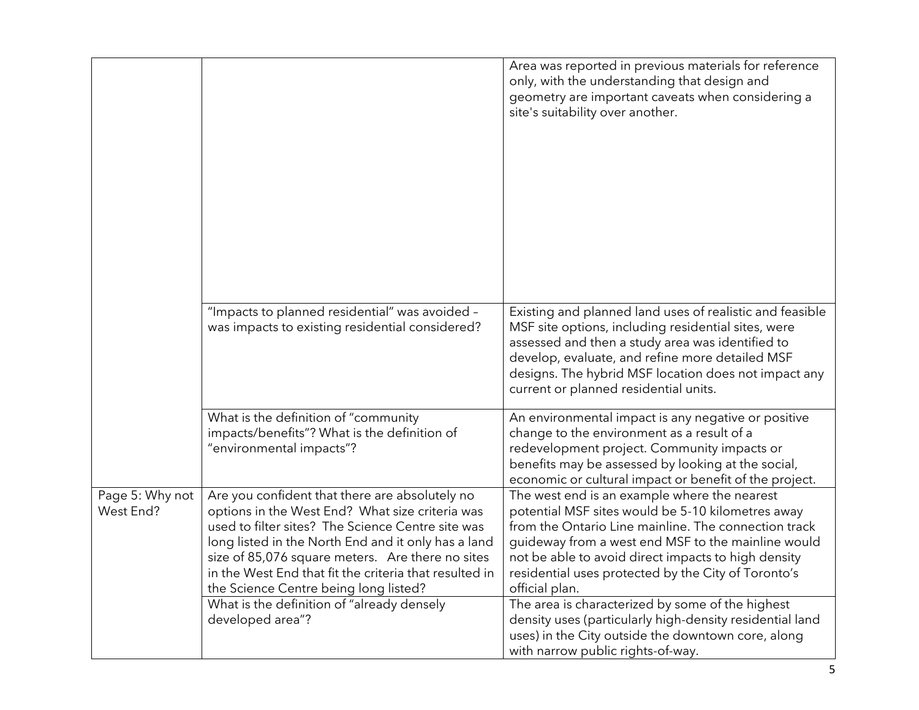|                              |                                                                                                                                                                                                                                                                                                                                                                      | Area was reported in previous materials for reference<br>only, with the understanding that design and<br>geometry are important caveats when considering a<br>site's suitability over another.                                                                                                                                                  |
|------------------------------|----------------------------------------------------------------------------------------------------------------------------------------------------------------------------------------------------------------------------------------------------------------------------------------------------------------------------------------------------------------------|-------------------------------------------------------------------------------------------------------------------------------------------------------------------------------------------------------------------------------------------------------------------------------------------------------------------------------------------------|
|                              | "Impacts to planned residential" was avoided -<br>was impacts to existing residential considered?                                                                                                                                                                                                                                                                    | Existing and planned land uses of realistic and feasible<br>MSF site options, including residential sites, were<br>assessed and then a study area was identified to<br>develop, evaluate, and refine more detailed MSF<br>designs. The hybrid MSF location does not impact any<br>current or planned residential units.                         |
|                              | What is the definition of "community<br>impacts/benefits"? What is the definition of<br>"environmental impacts"?                                                                                                                                                                                                                                                     | An environmental impact is any negative or positive<br>change to the environment as a result of a<br>redevelopment project. Community impacts or<br>benefits may be assessed by looking at the social,<br>economic or cultural impact or benefit of the project.                                                                                |
| Page 5: Why not<br>West End? | Are you confident that there are absolutely no<br>options in the West End? What size criteria was<br>used to filter sites? The Science Centre site was<br>long listed in the North End and it only has a land<br>size of 85,076 square meters. Are there no sites<br>in the West End that fit the criteria that resulted in<br>the Science Centre being long listed? | The west end is an example where the nearest<br>potential MSF sites would be 5-10 kilometres away<br>from the Ontario Line mainline. The connection track<br>guideway from a west end MSF to the mainline would<br>not be able to avoid direct impacts to high density<br>residential uses protected by the City of Toronto's<br>official plan. |
|                              | What is the definition of "already densely<br>developed area"?                                                                                                                                                                                                                                                                                                       | The area is characterized by some of the highest<br>density uses (particularly high-density residential land<br>uses) in the City outside the downtown core, along<br>with narrow public rights-of-way.                                                                                                                                         |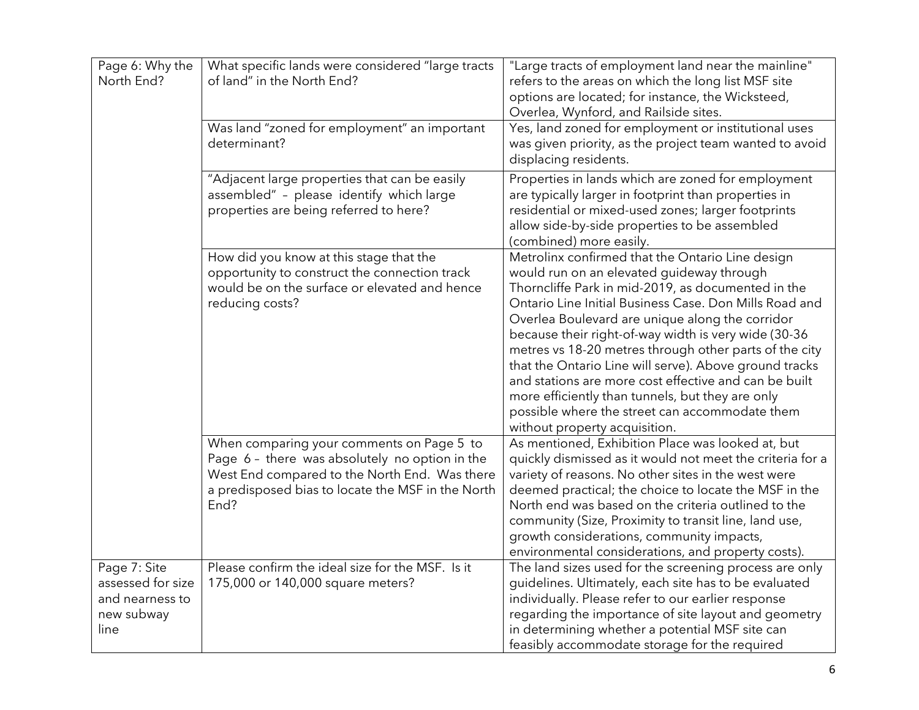| Page 6: Why the<br>North End?                                              | What specific lands were considered "large tracts<br>of land" in the North End?                                                                                                                           | "Large tracts of employment land near the mainline"<br>refers to the areas on which the long list MSF site<br>options are located; for instance, the Wicksteed,<br>Overlea, Wynford, and Railside sites.                                                                                                                                                                                                                                                                                                                                                                                                                                     |
|----------------------------------------------------------------------------|-----------------------------------------------------------------------------------------------------------------------------------------------------------------------------------------------------------|----------------------------------------------------------------------------------------------------------------------------------------------------------------------------------------------------------------------------------------------------------------------------------------------------------------------------------------------------------------------------------------------------------------------------------------------------------------------------------------------------------------------------------------------------------------------------------------------------------------------------------------------|
|                                                                            | Was land "zoned for employment" an important<br>determinant?                                                                                                                                              | Yes, land zoned for employment or institutional uses<br>was given priority, as the project team wanted to avoid<br>displacing residents.                                                                                                                                                                                                                                                                                                                                                                                                                                                                                                     |
|                                                                            | "Adjacent large properties that can be easily<br>assembled" - please identify which large<br>properties are being referred to here?                                                                       | Properties in lands which are zoned for employment<br>are typically larger in footprint than properties in<br>residential or mixed-used zones; larger footprints<br>allow side-by-side properties to be assembled<br>(combined) more easily.                                                                                                                                                                                                                                                                                                                                                                                                 |
|                                                                            | How did you know at this stage that the<br>opportunity to construct the connection track<br>would be on the surface or elevated and hence<br>reducing costs?                                              | Metrolinx confirmed that the Ontario Line design<br>would run on an elevated guideway through<br>Thorncliffe Park in mid-2019, as documented in the<br>Ontario Line Initial Business Case. Don Mills Road and<br>Overlea Boulevard are unique along the corridor<br>because their right-of-way width is very wide (30-36<br>metres vs 18-20 metres through other parts of the city<br>that the Ontario Line will serve). Above ground tracks<br>and stations are more cost effective and can be built<br>more efficiently than tunnels, but they are only<br>possible where the street can accommodate them<br>without property acquisition. |
|                                                                            | When comparing your comments on Page 5 to<br>Page 6 - there was absolutely no option in the<br>West End compared to the North End. Was there<br>a predisposed bias to locate the MSF in the North<br>End? | As mentioned, Exhibition Place was looked at, but<br>quickly dismissed as it would not meet the criteria for a<br>variety of reasons. No other sites in the west were<br>deemed practical; the choice to locate the MSF in the<br>North end was based on the criteria outlined to the<br>community (Size, Proximity to transit line, land use,<br>growth considerations, community impacts,<br>environmental considerations, and property costs).                                                                                                                                                                                            |
| Page 7: Site<br>assessed for size<br>and nearness to<br>new subway<br>line | Please confirm the ideal size for the MSF. Is it<br>175,000 or 140,000 square meters?                                                                                                                     | The land sizes used for the screening process are only<br>guidelines. Ultimately, each site has to be evaluated<br>individually. Please refer to our earlier response<br>regarding the importance of site layout and geometry<br>in determining whether a potential MSF site can<br>feasibly accommodate storage for the required                                                                                                                                                                                                                                                                                                            |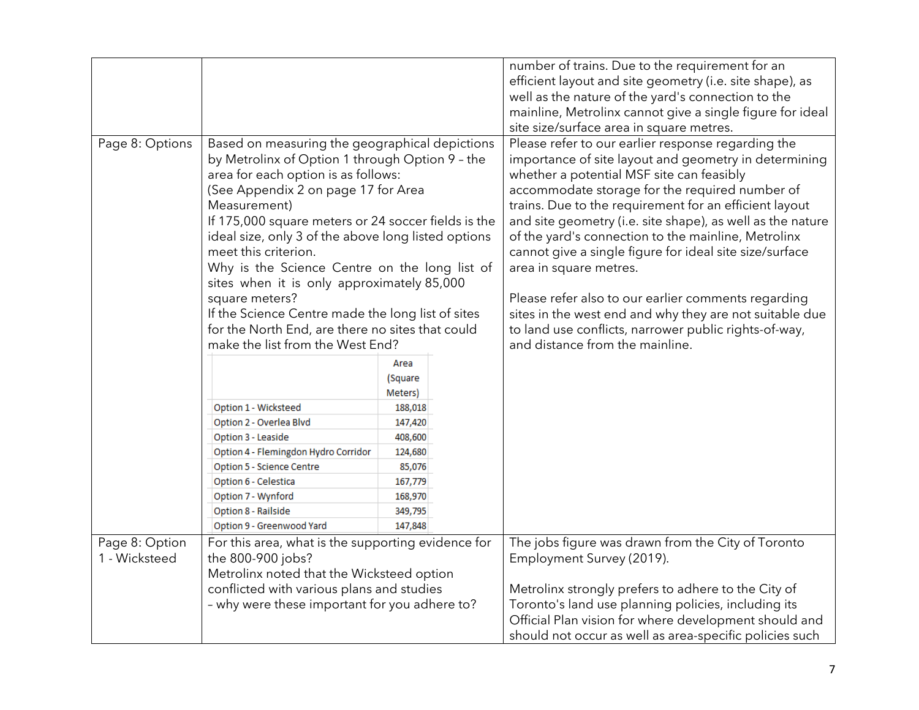|                                 |                                                                                                                                                                                                                                                                                                                                                                                                                                                                                                                                                                                                     |                                                                          | number of trains. Due to the requirement for an<br>efficient layout and site geometry (i.e. site shape), as<br>well as the nature of the yard's connection to the<br>mainline, Metrolinx cannot give a single figure for ideal<br>site size/surface area in square metres.                                                                                                                                                                                                                                                                                                                                                                                                                   |
|---------------------------------|-----------------------------------------------------------------------------------------------------------------------------------------------------------------------------------------------------------------------------------------------------------------------------------------------------------------------------------------------------------------------------------------------------------------------------------------------------------------------------------------------------------------------------------------------------------------------------------------------------|--------------------------------------------------------------------------|----------------------------------------------------------------------------------------------------------------------------------------------------------------------------------------------------------------------------------------------------------------------------------------------------------------------------------------------------------------------------------------------------------------------------------------------------------------------------------------------------------------------------------------------------------------------------------------------------------------------------------------------------------------------------------------------|
| Page 8: Options                 | Based on measuring the geographical depictions<br>by Metrolinx of Option 1 through Option 9 - the<br>area for each option is as follows:<br>(See Appendix 2 on page 17 for Area<br>Measurement)<br>If 175,000 square meters or 24 soccer fields is the<br>ideal size, only 3 of the above long listed options<br>meet this criterion.<br>Why is the Science Centre on the long list of<br>sites when it is only approximately 85,000<br>square meters?<br>If the Science Centre made the long list of sites<br>for the North End, are there no sites that could<br>make the list from the West End? |                                                                          | Please refer to our earlier response regarding the<br>importance of site layout and geometry in determining<br>whether a potential MSF site can feasibly<br>accommodate storage for the required number of<br>trains. Due to the requirement for an efficient layout<br>and site geometry (i.e. site shape), as well as the nature<br>of the yard's connection to the mainline, Metrolinx<br>cannot give a single figure for ideal site size/surface<br>area in square metres.<br>Please refer also to our earlier comments regarding<br>sites in the west end and why they are not suitable due<br>to land use conflicts, narrower public rights-of-way,<br>and distance from the mainline. |
|                                 | Option 1 - Wicksteed<br>Option 2 - Overlea Blvd                                                                                                                                                                                                                                                                                                                                                                                                                                                                                                                                                     | Area<br>(Square<br>Meters)<br>188,018<br>147,420                         |                                                                                                                                                                                                                                                                                                                                                                                                                                                                                                                                                                                                                                                                                              |
|                                 | Option 3 - Leaside<br>Option 4 - Flemingdon Hydro Corridor<br>Option 5 - Science Centre<br>Option 6 - Celestica<br>Option 7 - Wynford<br>Option 8 - Railside<br>Option 9 - Greenwood Yard                                                                                                                                                                                                                                                                                                                                                                                                           | 408,600<br>124,680<br>85,076<br>167,779<br>168,970<br>349,795<br>147,848 |                                                                                                                                                                                                                                                                                                                                                                                                                                                                                                                                                                                                                                                                                              |
| Page 8: Option<br>1 - Wicksteed | For this area, what is the supporting evidence for<br>the 800-900 jobs?<br>Metrolinx noted that the Wicksteed option<br>conflicted with various plans and studies<br>- why were these important for you adhere to?                                                                                                                                                                                                                                                                                                                                                                                  |                                                                          | The jobs figure was drawn from the City of Toronto<br>Employment Survey (2019).<br>Metrolinx strongly prefers to adhere to the City of<br>Toronto's land use planning policies, including its<br>Official Plan vision for where development should and<br>should not occur as well as area-specific policies such                                                                                                                                                                                                                                                                                                                                                                            |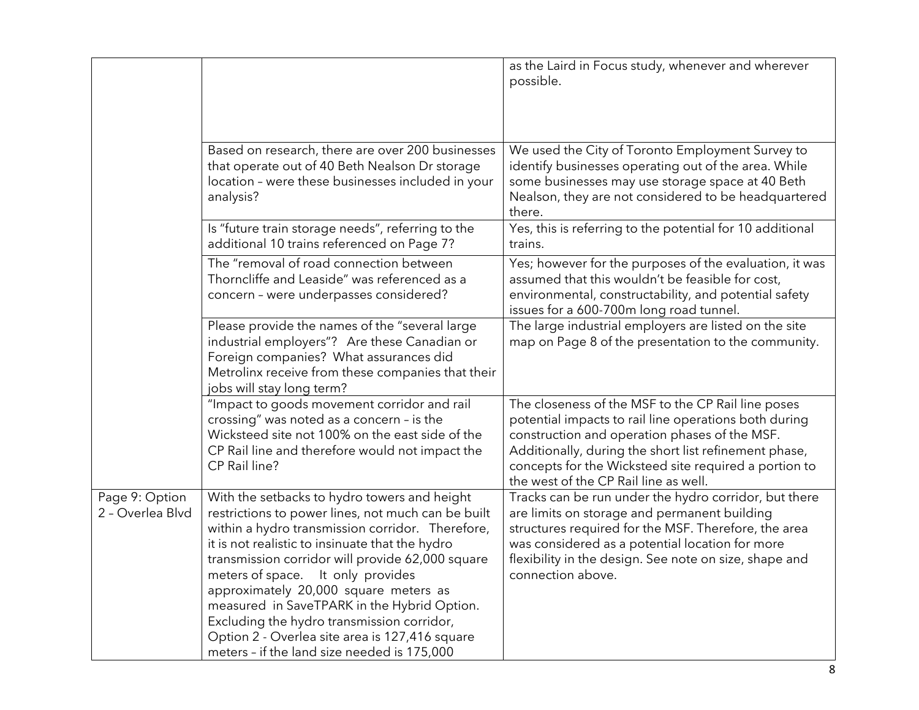|                                    |                                                                                                                                                                                                                                                                                                                                                                                                                                                                                                                                              | as the Laird in Focus study, whenever and wherever<br>possible.                                                                                                                                                                                                                                                         |
|------------------------------------|----------------------------------------------------------------------------------------------------------------------------------------------------------------------------------------------------------------------------------------------------------------------------------------------------------------------------------------------------------------------------------------------------------------------------------------------------------------------------------------------------------------------------------------------|-------------------------------------------------------------------------------------------------------------------------------------------------------------------------------------------------------------------------------------------------------------------------------------------------------------------------|
|                                    | Based on research, there are over 200 businesses<br>that operate out of 40 Beth Nealson Dr storage<br>location - were these businesses included in your<br>analysis?                                                                                                                                                                                                                                                                                                                                                                         | We used the City of Toronto Employment Survey to<br>identify businesses operating out of the area. While<br>some businesses may use storage space at 40 Beth<br>Nealson, they are not considered to be headquartered<br>there.                                                                                          |
|                                    | Is "future train storage needs", referring to the<br>additional 10 trains referenced on Page 7?                                                                                                                                                                                                                                                                                                                                                                                                                                              | Yes, this is referring to the potential for 10 additional<br>trains.                                                                                                                                                                                                                                                    |
|                                    | The "removal of road connection between<br>Thorncliffe and Leaside" was referenced as a<br>concern - were underpasses considered?                                                                                                                                                                                                                                                                                                                                                                                                            | Yes; however for the purposes of the evaluation, it was<br>assumed that this wouldn't be feasible for cost,<br>environmental, constructability, and potential safety<br>issues for a 600-700m long road tunnel.                                                                                                         |
|                                    | Please provide the names of the "several large<br>industrial employers"? Are these Canadian or<br>Foreign companies? What assurances did<br>Metrolinx receive from these companies that their<br>jobs will stay long term?                                                                                                                                                                                                                                                                                                                   | The large industrial employers are listed on the site<br>map on Page 8 of the presentation to the community.                                                                                                                                                                                                            |
|                                    | "Impact to goods movement corridor and rail<br>crossing" was noted as a concern - is the<br>Wicksteed site not 100% on the east side of the<br>CP Rail line and therefore would not impact the<br>CP Rail line?                                                                                                                                                                                                                                                                                                                              | The closeness of the MSF to the CP Rail line poses<br>potential impacts to rail line operations both during<br>construction and operation phases of the MSF.<br>Additionally, during the short list refinement phase,<br>concepts for the Wicksteed site required a portion to<br>the west of the CP Rail line as well. |
| Page 9: Option<br>2 - Overlea Blvd | With the setbacks to hydro towers and height<br>restrictions to power lines, not much can be built<br>within a hydro transmission corridor. Therefore,<br>it is not realistic to insinuate that the hydro<br>transmission corridor will provide 62,000 square<br>meters of space.<br>It only provides<br>approximately 20,000 square meters as<br>measured in SaveTPARK in the Hybrid Option.<br>Excluding the hydro transmission corridor,<br>Option 2 - Overlea site area is 127,416 square<br>meters - if the land size needed is 175,000 | Tracks can be run under the hydro corridor, but there<br>are limits on storage and permanent building<br>structures required for the MSF. Therefore, the area<br>was considered as a potential location for more<br>flexibility in the design. See note on size, shape and<br>connection above.                         |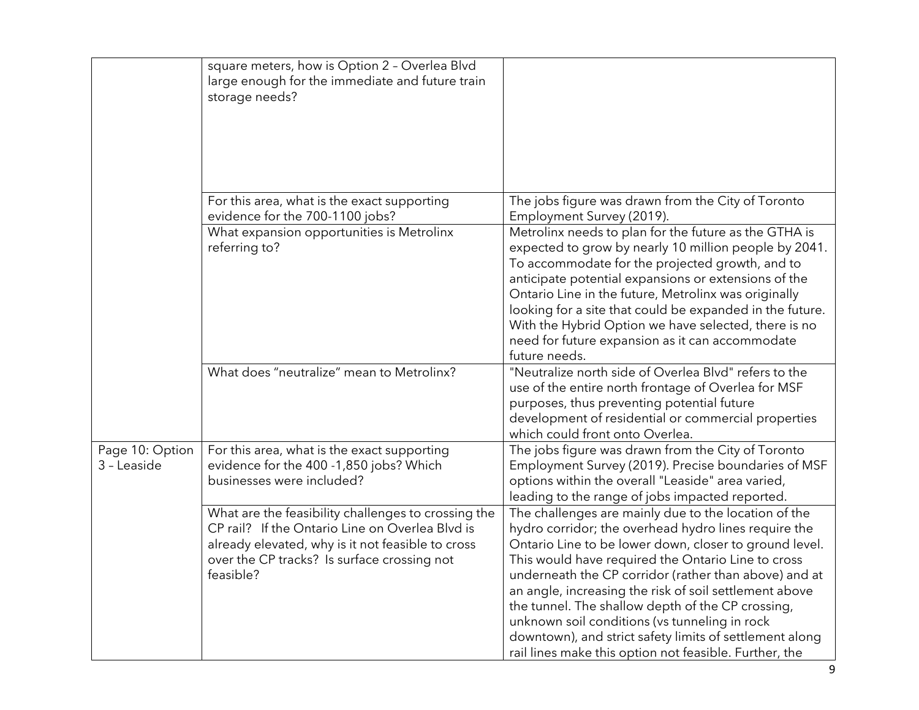|                                | square meters, how is Option 2 - Overlea Blvd<br>large enough for the immediate and future train<br>storage needs?                                                                                                      |                                                                                                                                                                                                                                                                                                                                                                                                                                                                                                                                                                            |
|--------------------------------|-------------------------------------------------------------------------------------------------------------------------------------------------------------------------------------------------------------------------|----------------------------------------------------------------------------------------------------------------------------------------------------------------------------------------------------------------------------------------------------------------------------------------------------------------------------------------------------------------------------------------------------------------------------------------------------------------------------------------------------------------------------------------------------------------------------|
|                                | For this area, what is the exact supporting<br>evidence for the 700-1100 jobs?                                                                                                                                          | The jobs figure was drawn from the City of Toronto<br>Employment Survey (2019).                                                                                                                                                                                                                                                                                                                                                                                                                                                                                            |
|                                | What expansion opportunities is Metrolinx<br>referring to?                                                                                                                                                              | Metrolinx needs to plan for the future as the GTHA is<br>expected to grow by nearly 10 million people by 2041.<br>To accommodate for the projected growth, and to<br>anticipate potential expansions or extensions of the<br>Ontario Line in the future, Metrolinx was originally<br>looking for a site that could be expanded in the future.<br>With the Hybrid Option we have selected, there is no<br>need for future expansion as it can accommodate<br>future needs.                                                                                                  |
|                                | What does "neutralize" mean to Metrolinx?                                                                                                                                                                               | "Neutralize north side of Overlea Blvd" refers to the<br>use of the entire north frontage of Overlea for MSF<br>purposes, thus preventing potential future<br>development of residential or commercial properties<br>which could front onto Overlea.                                                                                                                                                                                                                                                                                                                       |
| Page 10: Option<br>3 - Leaside | For this area, what is the exact supporting<br>evidence for the 400 -1,850 jobs? Which<br>businesses were included?                                                                                                     | The jobs figure was drawn from the City of Toronto<br>Employment Survey (2019). Precise boundaries of MSF<br>options within the overall "Leaside" area varied,<br>leading to the range of jobs impacted reported.                                                                                                                                                                                                                                                                                                                                                          |
|                                | What are the feasibility challenges to crossing the<br>CP rail? If the Ontario Line on Overlea Blvd is<br>already elevated, why is it not feasible to cross<br>over the CP tracks? Is surface crossing not<br>feasible? | The challenges are mainly due to the location of the<br>hydro corridor; the overhead hydro lines require the<br>Ontario Line to be lower down, closer to ground level.<br>This would have required the Ontario Line to cross<br>underneath the CP corridor (rather than above) and at<br>an angle, increasing the risk of soil settlement above<br>the tunnel. The shallow depth of the CP crossing,<br>unknown soil conditions (vs tunneling in rock<br>downtown), and strict safety limits of settlement along<br>rail lines make this option not feasible. Further, the |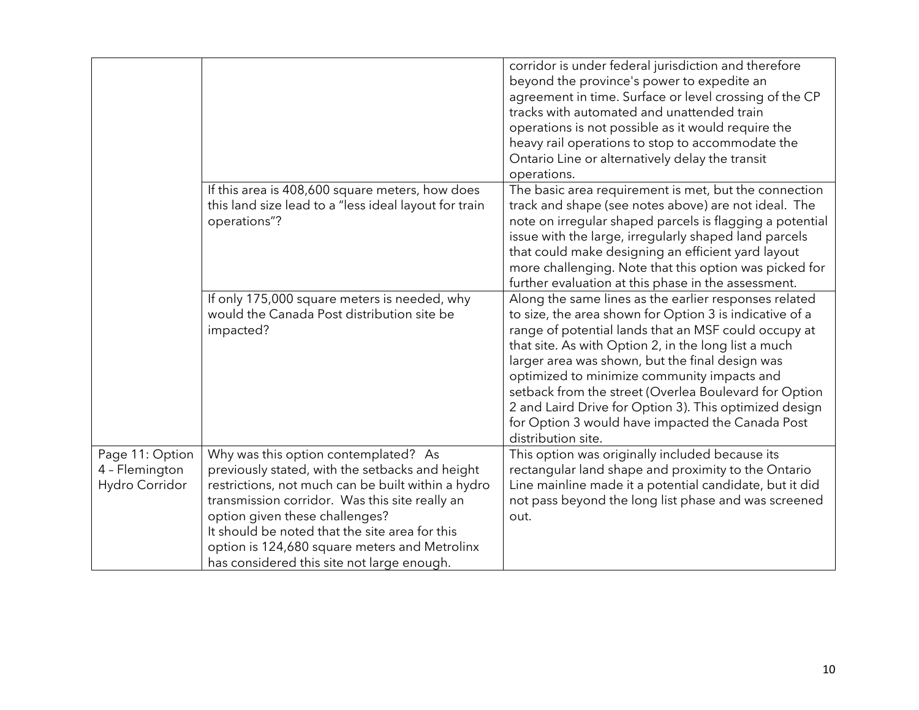|                                                     |                                                                                                                                                                                                                                                                                                                                                                                    | corridor is under federal jurisdiction and therefore<br>beyond the province's power to expedite an<br>agreement in time. Surface or level crossing of the CP<br>tracks with automated and unattended train<br>operations is not possible as it would require the<br>heavy rail operations to stop to accommodate the<br>Ontario Line or alternatively delay the transit<br>operations.                                                                                                                                          |
|-----------------------------------------------------|------------------------------------------------------------------------------------------------------------------------------------------------------------------------------------------------------------------------------------------------------------------------------------------------------------------------------------------------------------------------------------|---------------------------------------------------------------------------------------------------------------------------------------------------------------------------------------------------------------------------------------------------------------------------------------------------------------------------------------------------------------------------------------------------------------------------------------------------------------------------------------------------------------------------------|
|                                                     | If this area is 408,600 square meters, how does<br>this land size lead to a "less ideal layout for train<br>operations"?                                                                                                                                                                                                                                                           | The basic area requirement is met, but the connection<br>track and shape (see notes above) are not ideal. The<br>note on irregular shaped parcels is flagging a potential<br>issue with the large, irregularly shaped land parcels<br>that could make designing an efficient yard layout<br>more challenging. Note that this option was picked for<br>further evaluation at this phase in the assessment.                                                                                                                       |
|                                                     | If only 175,000 square meters is needed, why<br>would the Canada Post distribution site be<br>impacted?                                                                                                                                                                                                                                                                            | Along the same lines as the earlier responses related<br>to size, the area shown for Option 3 is indicative of a<br>range of potential lands that an MSF could occupy at<br>that site. As with Option 2, in the long list a much<br>larger area was shown, but the final design was<br>optimized to minimize community impacts and<br>setback from the street (Overlea Boulevard for Option<br>2 and Laird Drive for Option 3). This optimized design<br>for Option 3 would have impacted the Canada Post<br>distribution site. |
| Page 11: Option<br>4 - Flemington<br>Hydro Corridor | Why was this option contemplated? As<br>previously stated, with the setbacks and height<br>restrictions, not much can be built within a hydro<br>transmission corridor. Was this site really an<br>option given these challenges?<br>It should be noted that the site area for this<br>option is 124,680 square meters and Metrolinx<br>has considered this site not large enough. | This option was originally included because its<br>rectangular land shape and proximity to the Ontario<br>Line mainline made it a potential candidate, but it did<br>not pass beyond the long list phase and was screened<br>out.                                                                                                                                                                                                                                                                                               |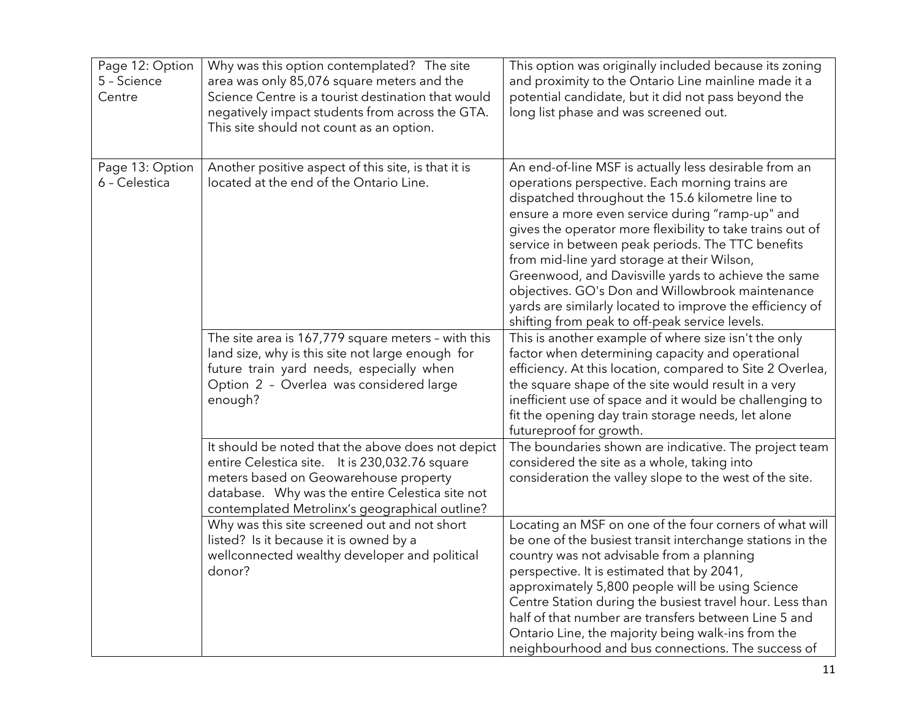| Page 12: Option<br>5 - Science<br>Centre | Why was this option contemplated? The site<br>area was only 85,076 square meters and the<br>Science Centre is a tourist destination that would<br>negatively impact students from across the GTA.<br>This site should not count as an option.     | This option was originally included because its zoning<br>and proximity to the Ontario Line mainline made it a<br>potential candidate, but it did not pass beyond the<br>long list phase and was screened out.                                                                                                                                                                                                                                                                                                                                                                                            |
|------------------------------------------|---------------------------------------------------------------------------------------------------------------------------------------------------------------------------------------------------------------------------------------------------|-----------------------------------------------------------------------------------------------------------------------------------------------------------------------------------------------------------------------------------------------------------------------------------------------------------------------------------------------------------------------------------------------------------------------------------------------------------------------------------------------------------------------------------------------------------------------------------------------------------|
| Page 13: Option<br>6 - Celestica         | Another positive aspect of this site, is that it is<br>located at the end of the Ontario Line.                                                                                                                                                    | An end-of-line MSF is actually less desirable from an<br>operations perspective. Each morning trains are<br>dispatched throughout the 15.6 kilometre line to<br>ensure a more even service during "ramp-up" and<br>gives the operator more flexibility to take trains out of<br>service in between peak periods. The TTC benefits<br>from mid-line yard storage at their Wilson,<br>Greenwood, and Davisville yards to achieve the same<br>objectives. GO's Don and Willowbrook maintenance<br>yards are similarly located to improve the efficiency of<br>shifting from peak to off-peak service levels. |
|                                          | The site area is 167,779 square meters - with this<br>land size, why is this site not large enough for<br>future train yard needs, especially when<br>Option 2 - Overlea was considered large<br>enough?                                          | This is another example of where size isn't the only<br>factor when determining capacity and operational<br>efficiency. At this location, compared to Site 2 Overlea,<br>the square shape of the site would result in a very<br>inefficient use of space and it would be challenging to<br>fit the opening day train storage needs, let alone<br>futureproof for growth.                                                                                                                                                                                                                                  |
|                                          | It should be noted that the above does not depict<br>entire Celestica site. It is 230,032.76 square<br>meters based on Geowarehouse property<br>database. Why was the entire Celestica site not<br>contemplated Metrolinx's geographical outline? | The boundaries shown are indicative. The project team<br>considered the site as a whole, taking into<br>consideration the valley slope to the west of the site.                                                                                                                                                                                                                                                                                                                                                                                                                                           |
|                                          | Why was this site screened out and not short<br>listed? Is it because it is owned by a<br>wellconnected wealthy developer and political<br>donor?                                                                                                 | Locating an MSF on one of the four corners of what will<br>be one of the busiest transit interchange stations in the<br>country was not advisable from a planning<br>perspective. It is estimated that by 2041,<br>approximately 5,800 people will be using Science<br>Centre Station during the busiest travel hour. Less than<br>half of that number are transfers between Line 5 and<br>Ontario Line, the majority being walk-ins from the<br>neighbourhood and bus connections. The success of                                                                                                        |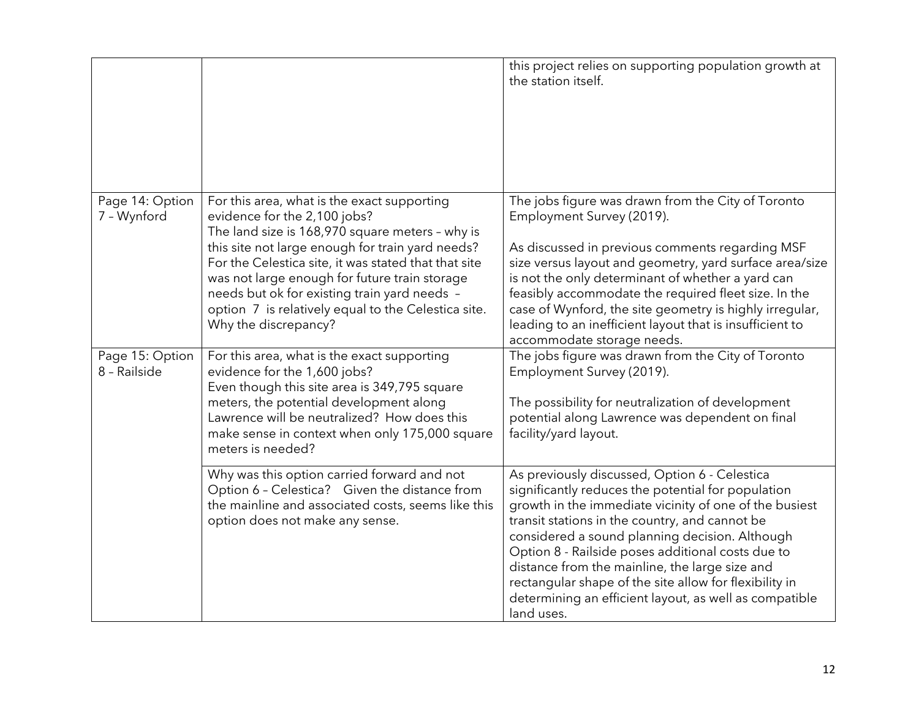|                                 |                                                                                                                                                                                                                                                                                                                                                                                                                            | this project relies on supporting population growth at<br>the station itself.                                                                                                                                                                                                                                                                                                                                                                                                                              |
|---------------------------------|----------------------------------------------------------------------------------------------------------------------------------------------------------------------------------------------------------------------------------------------------------------------------------------------------------------------------------------------------------------------------------------------------------------------------|------------------------------------------------------------------------------------------------------------------------------------------------------------------------------------------------------------------------------------------------------------------------------------------------------------------------------------------------------------------------------------------------------------------------------------------------------------------------------------------------------------|
| Page 14: Option<br>7 - Wynford  | For this area, what is the exact supporting<br>evidence for the 2,100 jobs?<br>The land size is 168,970 square meters - why is<br>this site not large enough for train yard needs?<br>For the Celestica site, it was stated that that site<br>was not large enough for future train storage<br>needs but ok for existing train yard needs -<br>option 7 is relatively equal to the Celestica site.<br>Why the discrepancy? | The jobs figure was drawn from the City of Toronto<br>Employment Survey (2019).<br>As discussed in previous comments regarding MSF<br>size versus layout and geometry, yard surface area/size<br>is not the only determinant of whether a yard can<br>feasibly accommodate the required fleet size. In the<br>case of Wynford, the site geometry is highly irregular,<br>leading to an inefficient layout that is insufficient to<br>accommodate storage needs.                                            |
| Page 15: Option<br>8 - Railside | For this area, what is the exact supporting<br>evidence for the 1,600 jobs?<br>Even though this site area is 349,795 square<br>meters, the potential development along<br>Lawrence will be neutralized? How does this<br>make sense in context when only 175,000 square<br>meters is needed?                                                                                                                               | The jobs figure was drawn from the City of Toronto<br>Employment Survey (2019).<br>The possibility for neutralization of development<br>potential along Lawrence was dependent on final<br>facility/yard layout.                                                                                                                                                                                                                                                                                           |
|                                 | Why was this option carried forward and not<br>Option 6 - Celestica? Given the distance from<br>the mainline and associated costs, seems like this<br>option does not make any sense.                                                                                                                                                                                                                                      | As previously discussed, Option 6 - Celestica<br>significantly reduces the potential for population<br>growth in the immediate vicinity of one of the busiest<br>transit stations in the country, and cannot be<br>considered a sound planning decision. Although<br>Option 8 - Railside poses additional costs due to<br>distance from the mainline, the large size and<br>rectangular shape of the site allow for flexibility in<br>determining an efficient layout, as well as compatible<br>land uses. |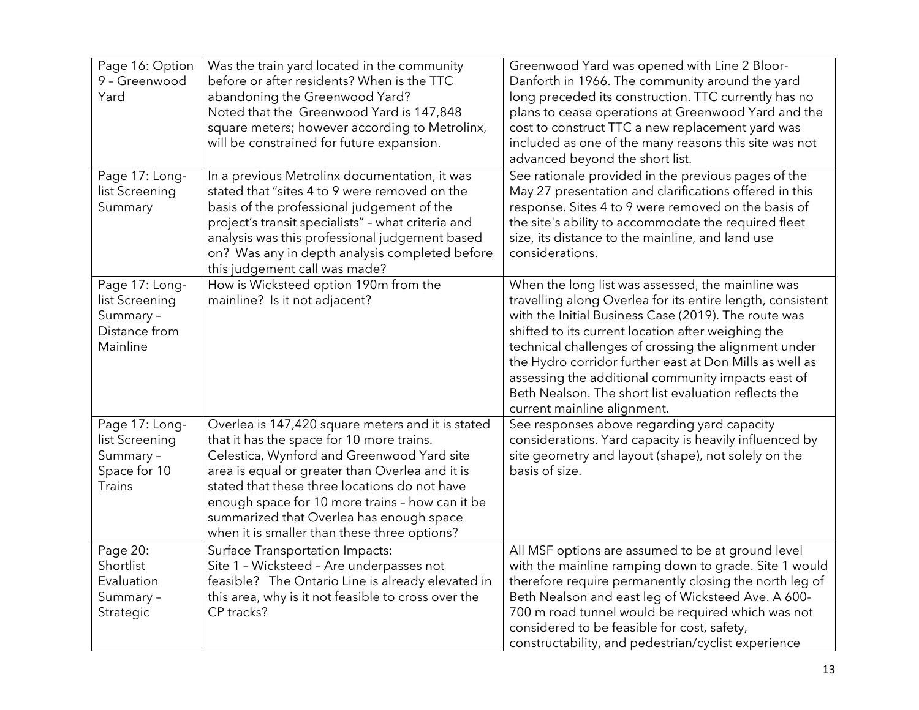| Page 16: Option<br>9 - Greenwood<br>Yard                                       | Was the train yard located in the community<br>before or after residents? When is the TTC<br>abandoning the Greenwood Yard?<br>Noted that the Greenwood Yard is 147,848<br>square meters; however according to Metrolinx,<br>will be constrained for future expansion.                                                                                                                          | Greenwood Yard was opened with Line 2 Bloor-<br>Danforth in 1966. The community around the yard<br>long preceded its construction. TTC currently has no<br>plans to cease operations at Greenwood Yard and the<br>cost to construct TTC a new replacement yard was<br>included as one of the many reasons this site was not<br>advanced beyond the short list.                                                                                                                                |
|--------------------------------------------------------------------------------|-------------------------------------------------------------------------------------------------------------------------------------------------------------------------------------------------------------------------------------------------------------------------------------------------------------------------------------------------------------------------------------------------|-----------------------------------------------------------------------------------------------------------------------------------------------------------------------------------------------------------------------------------------------------------------------------------------------------------------------------------------------------------------------------------------------------------------------------------------------------------------------------------------------|
| Page 17: Long-<br>list Screening<br>Summary                                    | In a previous Metrolinx documentation, it was<br>stated that "sites 4 to 9 were removed on the<br>basis of the professional judgement of the<br>project's transit specialists" - what criteria and<br>analysis was this professional judgement based<br>on? Was any in depth analysis completed before<br>this judgement call was made?                                                         | See rationale provided in the previous pages of the<br>May 27 presentation and clarifications offered in this<br>response. Sites 4 to 9 were removed on the basis of<br>the site's ability to accommodate the required fleet<br>size, its distance to the mainline, and land use<br>considerations.                                                                                                                                                                                           |
| Page 17: Long-<br>list Screening<br>Summary -<br>Distance from<br>Mainline     | How is Wicksteed option 190m from the<br>mainline? Is it not adjacent?                                                                                                                                                                                                                                                                                                                          | When the long list was assessed, the mainline was<br>travelling along Overlea for its entire length, consistent<br>with the Initial Business Case (2019). The route was<br>shifted to its current location after weighing the<br>technical challenges of crossing the alignment under<br>the Hydro corridor further east at Don Mills as well as<br>assessing the additional community impacts east of<br>Beth Nealson. The short list evaluation reflects the<br>current mainline alignment. |
| Page 17: Long-<br>list Screening<br>Summary -<br>Space for 10<br><b>Trains</b> | Overlea is 147,420 square meters and it is stated<br>that it has the space for 10 more trains.<br>Celestica, Wynford and Greenwood Yard site<br>area is equal or greater than Overlea and it is<br>stated that these three locations do not have<br>enough space for 10 more trains - how can it be<br>summarized that Overlea has enough space<br>when it is smaller than these three options? | See responses above regarding yard capacity<br>considerations. Yard capacity is heavily influenced by<br>site geometry and layout (shape), not solely on the<br>basis of size.                                                                                                                                                                                                                                                                                                                |
| Page 20:<br>Shortlist<br>Evaluation<br>Summary -<br>Strategic                  | <b>Surface Transportation Impacts:</b><br>Site 1 - Wicksteed - Are underpasses not<br>feasible? The Ontario Line is already elevated in<br>this area, why is it not feasible to cross over the<br>CP tracks?                                                                                                                                                                                    | All MSF options are assumed to be at ground level<br>with the mainline ramping down to grade. Site 1 would<br>therefore require permanently closing the north leg of<br>Beth Nealson and east leg of Wicksteed Ave. A 600-<br>700 m road tunnel would be required which was not<br>considered to be feasible for cost, safety,<br>constructability, and pedestrian/cyclist experience                                                                                                         |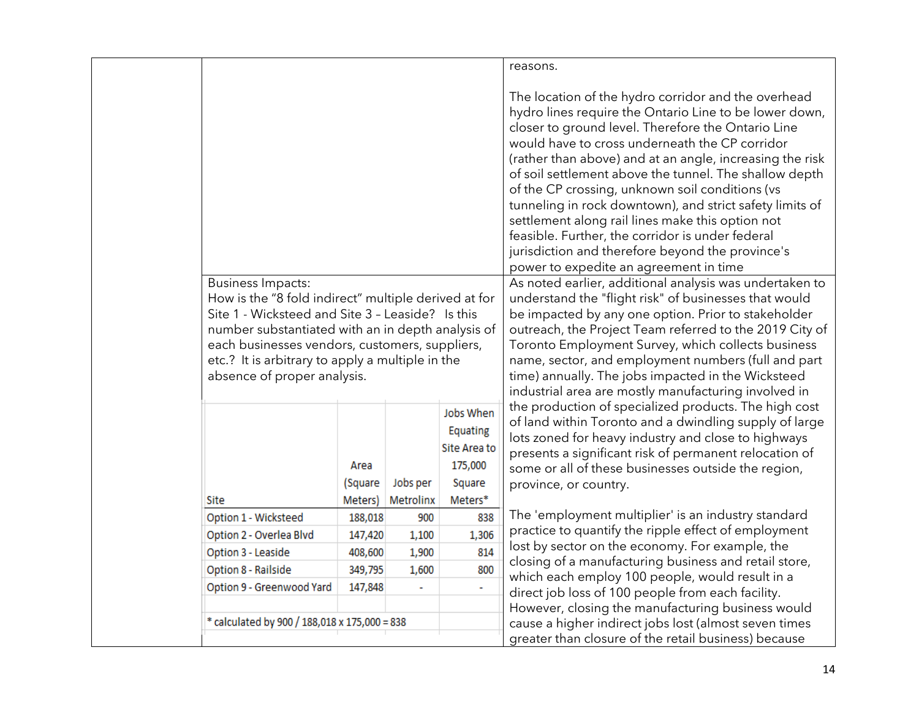|                                                                                                                                                                                                                                                                                                                                |                            |                       |                                                                       | reasons.                                                                                                                                                                                                                                                                                                                                                                                                                                                                                                                                                                                                                                                         |
|--------------------------------------------------------------------------------------------------------------------------------------------------------------------------------------------------------------------------------------------------------------------------------------------------------------------------------|----------------------------|-----------------------|-----------------------------------------------------------------------|------------------------------------------------------------------------------------------------------------------------------------------------------------------------------------------------------------------------------------------------------------------------------------------------------------------------------------------------------------------------------------------------------------------------------------------------------------------------------------------------------------------------------------------------------------------------------------------------------------------------------------------------------------------|
|                                                                                                                                                                                                                                                                                                                                |                            |                       |                                                                       | The location of the hydro corridor and the overhead<br>hydro lines require the Ontario Line to be lower down,<br>closer to ground level. Therefore the Ontario Line<br>would have to cross underneath the CP corridor<br>(rather than above) and at an angle, increasing the risk<br>of soil settlement above the tunnel. The shallow depth<br>of the CP crossing, unknown soil conditions (vs<br>tunneling in rock downtown), and strict safety limits of<br>settlement along rail lines make this option not<br>feasible. Further, the corridor is under federal<br>jurisdiction and therefore beyond the province's<br>power to expedite an agreement in time |
| <b>Business Impacts:</b><br>How is the "8 fold indirect" multiple derived at for<br>Site 1 - Wicksteed and Site 3 - Leaside? Is this<br>number substantiated with an in depth analysis of<br>each businesses vendors, customers, suppliers,<br>etc.? It is arbitrary to apply a multiple in the<br>absence of proper analysis. |                            |                       |                                                                       | As noted earlier, additional analysis was undertaken to<br>understand the "flight risk" of businesses that would<br>be impacted by any one option. Prior to stakeholder<br>outreach, the Project Team referred to the 2019 City of<br>Toronto Employment Survey, which collects business<br>name, sector, and employment numbers (full and part<br>time) annually. The jobs impacted in the Wicksteed<br>industrial area are mostly manufacturing involved in                                                                                                                                                                                                    |
| Site                                                                                                                                                                                                                                                                                                                           | Area<br>(Square<br>Meters) | Jobs per<br>Metrolinx | Jobs When<br>Equating<br>Site Area to<br>175,000<br>Square<br>Meters* | the production of specialized products. The high cost<br>of land within Toronto and a dwindling supply of large<br>lots zoned for heavy industry and close to highways<br>presents a significant risk of permanent relocation of<br>some or all of these businesses outside the region,<br>province, or country.                                                                                                                                                                                                                                                                                                                                                 |
| Option 1 - Wicksteed                                                                                                                                                                                                                                                                                                           | 188,018                    | 900                   | 838                                                                   | The 'employment multiplier' is an industry standard                                                                                                                                                                                                                                                                                                                                                                                                                                                                                                                                                                                                              |
| Option 2 - Overlea Blvd                                                                                                                                                                                                                                                                                                        | 147,420                    | 1,100                 | 1,306                                                                 | practice to quantify the ripple effect of employment                                                                                                                                                                                                                                                                                                                                                                                                                                                                                                                                                                                                             |
| Option 3 - Leaside                                                                                                                                                                                                                                                                                                             | 408,600                    | 1,900                 | 814                                                                   | lost by sector on the economy. For example, the                                                                                                                                                                                                                                                                                                                                                                                                                                                                                                                                                                                                                  |
| Option 8 - Railside                                                                                                                                                                                                                                                                                                            | 349,795                    | 1,600                 | 800                                                                   | closing of a manufacturing business and retail store,<br>which each employ 100 people, would result in a                                                                                                                                                                                                                                                                                                                                                                                                                                                                                                                                                         |
| Option 9 - Greenwood Yard                                                                                                                                                                                                                                                                                                      | 147,848                    |                       | ÷.                                                                    | direct job loss of 100 people from each facility.                                                                                                                                                                                                                                                                                                                                                                                                                                                                                                                                                                                                                |
|                                                                                                                                                                                                                                                                                                                                |                            |                       |                                                                       | However, closing the manufacturing business would                                                                                                                                                                                                                                                                                                                                                                                                                                                                                                                                                                                                                |
| * calculated by 900 / 188,018 x 175,000 = 838                                                                                                                                                                                                                                                                                  |                            |                       |                                                                       | cause a higher indirect jobs lost (almost seven times                                                                                                                                                                                                                                                                                                                                                                                                                                                                                                                                                                                                            |
|                                                                                                                                                                                                                                                                                                                                |                            |                       |                                                                       | greater than closure of the retail business) because                                                                                                                                                                                                                                                                                                                                                                                                                                                                                                                                                                                                             |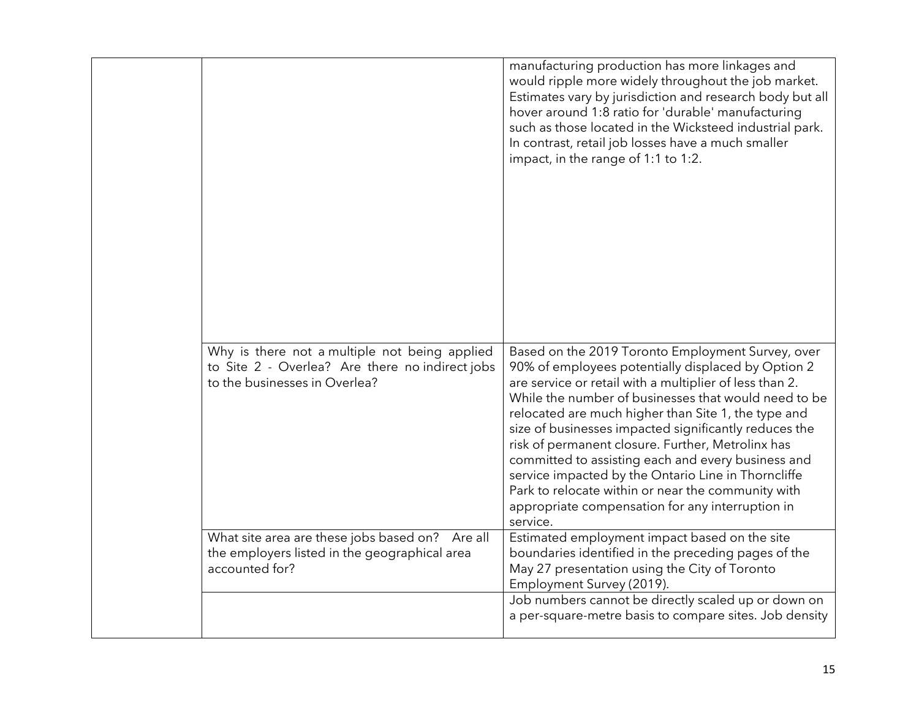| manufacturing production has more linkages and<br>would ripple more widely throughout the job market.<br>Estimates vary by jurisdiction and research body but all<br>hover around 1:8 ratio for 'durable' manufacturing<br>such as those located in the Wicksteed industrial park.<br>In contrast, retail job losses have a much smaller<br>impact, in the range of 1:1 to 1:2.                                                                                                                                                                                                                                                                                                                                                        |
|----------------------------------------------------------------------------------------------------------------------------------------------------------------------------------------------------------------------------------------------------------------------------------------------------------------------------------------------------------------------------------------------------------------------------------------------------------------------------------------------------------------------------------------------------------------------------------------------------------------------------------------------------------------------------------------------------------------------------------------|
| Why is there not a multiple not being applied<br>Based on the 2019 Toronto Employment Survey, over<br>to Site 2 - Overlea? Are there no indirect jobs<br>90% of employees potentially displaced by Option 2<br>are service or retail with a multiplier of less than 2.<br>While the number of businesses that would need to be<br>relocated are much higher than Site 1, the type and<br>size of businesses impacted significantly reduces the<br>risk of permanent closure. Further, Metrolinx has<br>committed to assisting each and every business and<br>service impacted by the Ontario Line in Thorncliffe<br>Park to relocate within or near the community with<br>appropriate compensation for any interruption in<br>service. |
| What site area are these jobs based on? Are all<br>Estimated employment impact based on the site<br>boundaries identified in the preceding pages of the<br>the employers listed in the geographical area<br>May 27 presentation using the City of Toronto<br>Employment Survey (2019).<br>Job numbers cannot be directly scaled up or down on<br>a per-square-metre basis to compare sites. Job density                                                                                                                                                                                                                                                                                                                                |
| to the businesses in Overlea?                                                                                                                                                                                                                                                                                                                                                                                                                                                                                                                                                                                                                                                                                                          |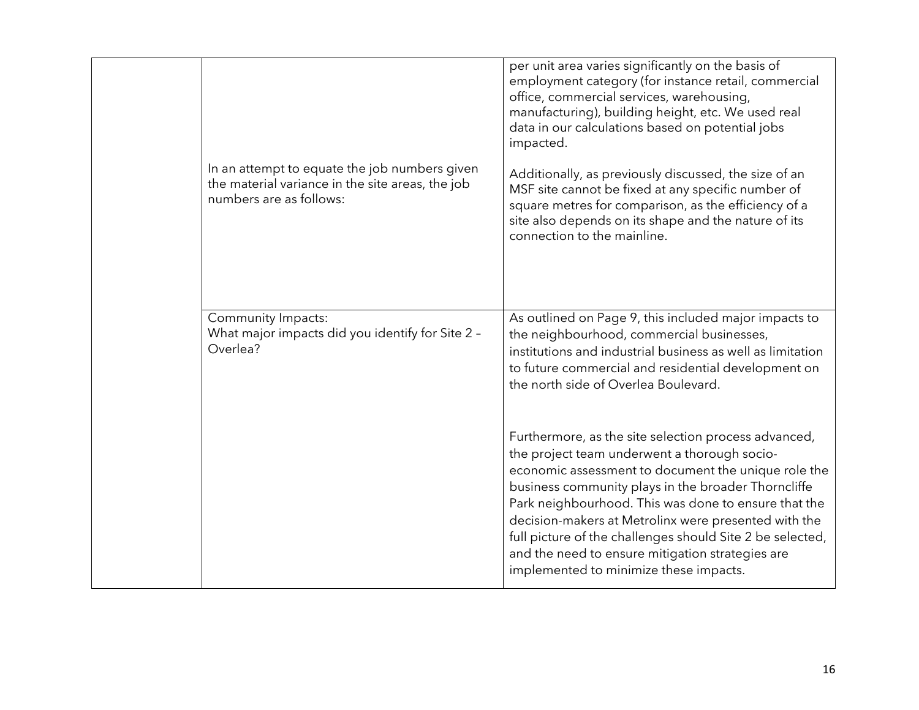| In an attempt to equate the job numbers given<br>the material variance in the site areas, the job<br>numbers are as follows: | per unit area varies significantly on the basis of<br>employment category (for instance retail, commercial<br>office, commercial services, warehousing,<br>manufacturing), building height, etc. We used real<br>data in our calculations based on potential jobs<br>impacted.<br>Additionally, as previously discussed, the size of an<br>MSF site cannot be fixed at any specific number of<br>square metres for comparison, as the efficiency of a<br>site also depends on its shape and the nature of its<br>connection to the mainline.                                                                                                                                                                                                                     |  |
|------------------------------------------------------------------------------------------------------------------------------|------------------------------------------------------------------------------------------------------------------------------------------------------------------------------------------------------------------------------------------------------------------------------------------------------------------------------------------------------------------------------------------------------------------------------------------------------------------------------------------------------------------------------------------------------------------------------------------------------------------------------------------------------------------------------------------------------------------------------------------------------------------|--|
| Community Impacts:<br>What major impacts did you identify for Site 2 -<br>Overlea?                                           | As outlined on Page 9, this included major impacts to<br>the neighbourhood, commercial businesses,<br>institutions and industrial business as well as limitation<br>to future commercial and residential development on<br>the north side of Overlea Boulevard.<br>Furthermore, as the site selection process advanced,<br>the project team underwent a thorough socio-<br>economic assessment to document the unique role the<br>business community plays in the broader Thorncliffe<br>Park neighbourhood. This was done to ensure that the<br>decision-makers at Metrolinx were presented with the<br>full picture of the challenges should Site 2 be selected,<br>and the need to ensure mitigation strategies are<br>implemented to minimize these impacts. |  |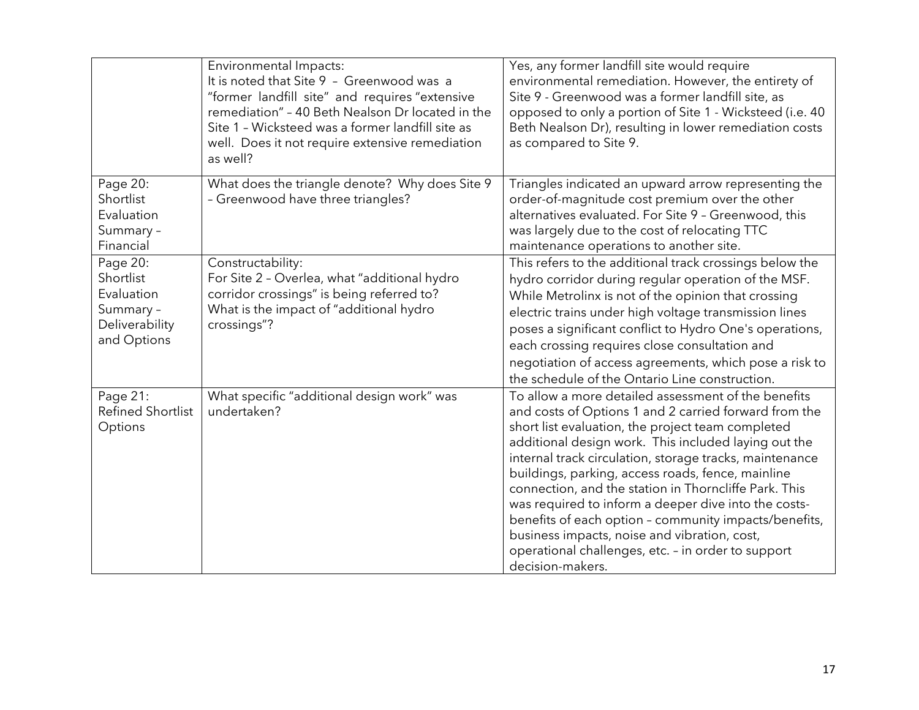|                                                                                   | Environmental Impacts:<br>It is noted that Site 9 - Greenwood was a<br>"former landfill site" and requires "extensive<br>remediation" - 40 Beth Nealson Dr located in the<br>Site 1 - Wicksteed was a former landfill site as<br>well. Does it not require extensive remediation<br>as well? | Yes, any former landfill site would require<br>environmental remediation. However, the entirety of<br>Site 9 - Greenwood was a former landfill site, as<br>opposed to only a portion of Site 1 - Wicksteed (i.e. 40<br>Beth Nealson Dr), resulting in lower remediation costs<br>as compared to Site 9.                                                                                                                                                                                                                                                                                                                                       |
|-----------------------------------------------------------------------------------|----------------------------------------------------------------------------------------------------------------------------------------------------------------------------------------------------------------------------------------------------------------------------------------------|-----------------------------------------------------------------------------------------------------------------------------------------------------------------------------------------------------------------------------------------------------------------------------------------------------------------------------------------------------------------------------------------------------------------------------------------------------------------------------------------------------------------------------------------------------------------------------------------------------------------------------------------------|
| Page 20:<br>Shortlist<br>Evaluation<br>Summary -<br>Financial                     | What does the triangle denote? Why does Site 9<br>- Greenwood have three triangles?                                                                                                                                                                                                          | Triangles indicated an upward arrow representing the<br>order-of-magnitude cost premium over the other<br>alternatives evaluated. For Site 9 - Greenwood, this<br>was largely due to the cost of relocating TTC<br>maintenance operations to another site.                                                                                                                                                                                                                                                                                                                                                                                    |
| Page 20:<br>Shortlist<br>Evaluation<br>Summary -<br>Deliverability<br>and Options | Constructability:<br>For Site 2 - Overlea, what "additional hydro<br>corridor crossings" is being referred to?<br>What is the impact of "additional hydro<br>crossings"?                                                                                                                     | This refers to the additional track crossings below the<br>hydro corridor during regular operation of the MSF.<br>While Metrolinx is not of the opinion that crossing<br>electric trains under high voltage transmission lines<br>poses a significant conflict to Hydro One's operations,<br>each crossing requires close consultation and<br>negotiation of access agreements, which pose a risk to<br>the schedule of the Ontario Line construction.                                                                                                                                                                                        |
| Page 21:<br><b>Refined Shortlist</b><br>Options                                   | What specific "additional design work" was<br>undertaken?                                                                                                                                                                                                                                    | To allow a more detailed assessment of the benefits<br>and costs of Options 1 and 2 carried forward from the<br>short list evaluation, the project team completed<br>additional design work. This included laying out the<br>internal track circulation, storage tracks, maintenance<br>buildings, parking, access roads, fence, mainline<br>connection, and the station in Thorncliffe Park. This<br>was required to inform a deeper dive into the costs-<br>benefits of each option - community impacts/benefits,<br>business impacts, noise and vibration, cost,<br>operational challenges, etc. - in order to support<br>decision-makers. |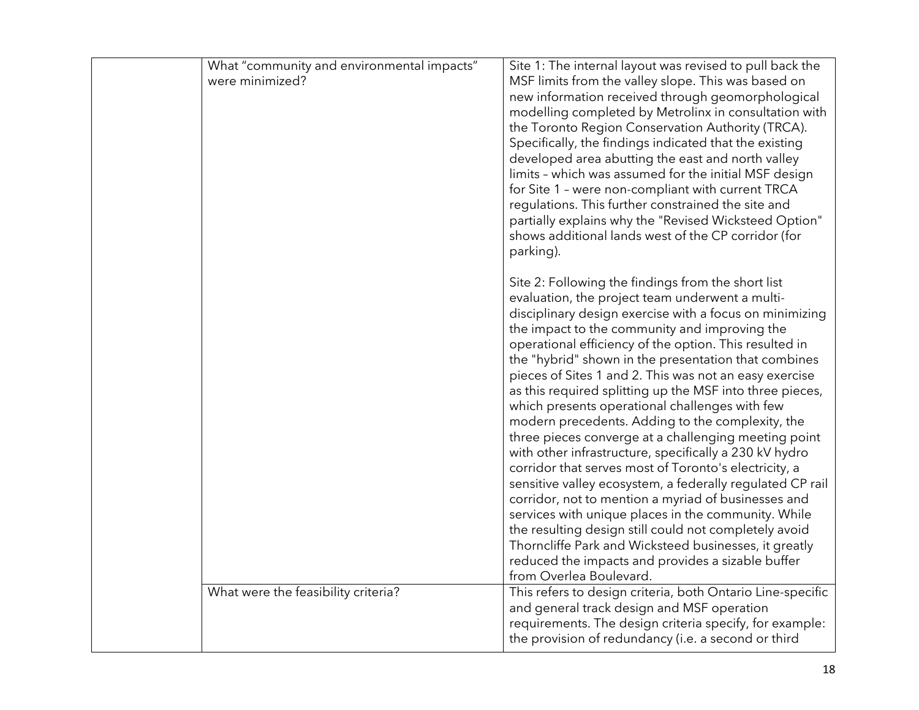| What "community and environmental impacts"<br>were minimized? | Site 1: The internal layout was revised to pull back the<br>MSF limits from the valley slope. This was based on<br>new information received through geomorphological<br>modelling completed by Metrolinx in consultation with<br>the Toronto Region Conservation Authority (TRCA).<br>Specifically, the findings indicated that the existing<br>developed area abutting the east and north valley<br>limits - which was assumed for the initial MSF design<br>for Site 1 - were non-compliant with current TRCA<br>regulations. This further constrained the site and<br>partially explains why the "Revised Wicksteed Option"<br>shows additional lands west of the CP corridor (for<br>parking).                                                                                                                                                                                                                                                                                                                                                                                                                      |
|---------------------------------------------------------------|-------------------------------------------------------------------------------------------------------------------------------------------------------------------------------------------------------------------------------------------------------------------------------------------------------------------------------------------------------------------------------------------------------------------------------------------------------------------------------------------------------------------------------------------------------------------------------------------------------------------------------------------------------------------------------------------------------------------------------------------------------------------------------------------------------------------------------------------------------------------------------------------------------------------------------------------------------------------------------------------------------------------------------------------------------------------------------------------------------------------------|
|                                                               | Site 2: Following the findings from the short list<br>evaluation, the project team underwent a multi-<br>disciplinary design exercise with a focus on minimizing<br>the impact to the community and improving the<br>operational efficiency of the option. This resulted in<br>the "hybrid" shown in the presentation that combines<br>pieces of Sites 1 and 2. This was not an easy exercise<br>as this required splitting up the MSF into three pieces,<br>which presents operational challenges with few<br>modern precedents. Adding to the complexity, the<br>three pieces converge at a challenging meeting point<br>with other infrastructure, specifically a 230 kV hydro<br>corridor that serves most of Toronto's electricity, a<br>sensitive valley ecosystem, a federally regulated CP rail<br>corridor, not to mention a myriad of businesses and<br>services with unique places in the community. While<br>the resulting design still could not completely avoid<br>Thorncliffe Park and Wicksteed businesses, it greatly<br>reduced the impacts and provides a sizable buffer<br>from Overlea Boulevard. |
| What were the feasibility criteria?                           | This refers to design criteria, both Ontario Line-specific<br>and general track design and MSF operation<br>requirements. The design criteria specify, for example:<br>the provision of redundancy (i.e. a second or third                                                                                                                                                                                                                                                                                                                                                                                                                                                                                                                                                                                                                                                                                                                                                                                                                                                                                              |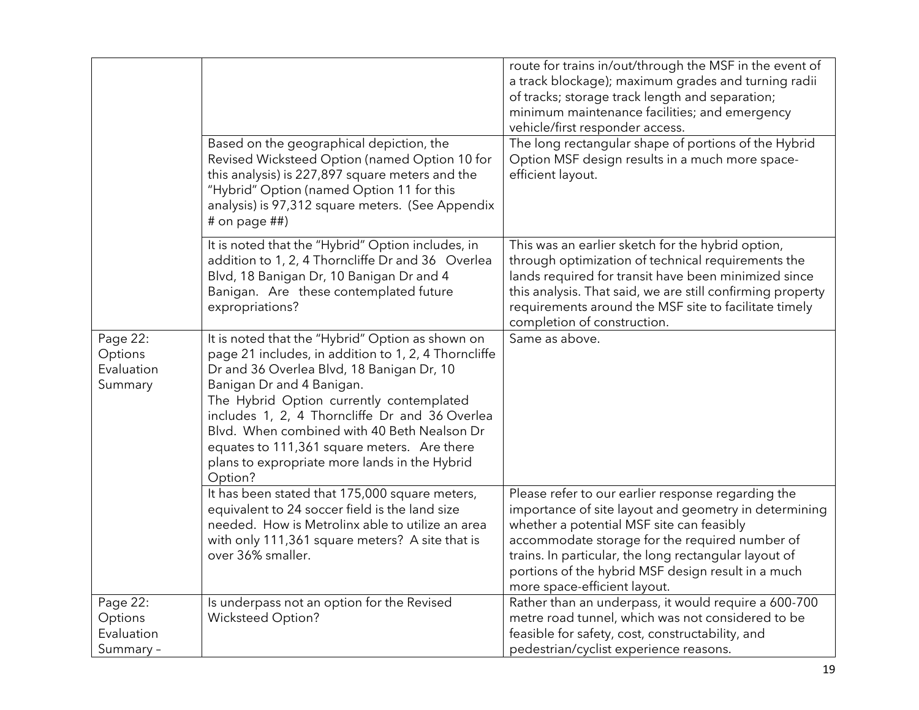|                                                |                                                                                                                                                                                                                                                                                                                                                                                                                                            | route for trains in/out/through the MSF in the event of<br>a track blockage); maximum grades and turning radii<br>of tracks; storage track length and separation;<br>minimum maintenance facilities; and emergency<br>vehicle/first responder access.                                                                                                     |
|------------------------------------------------|--------------------------------------------------------------------------------------------------------------------------------------------------------------------------------------------------------------------------------------------------------------------------------------------------------------------------------------------------------------------------------------------------------------------------------------------|-----------------------------------------------------------------------------------------------------------------------------------------------------------------------------------------------------------------------------------------------------------------------------------------------------------------------------------------------------------|
|                                                | Based on the geographical depiction, the<br>Revised Wicksteed Option (named Option 10 for<br>this analysis) is 227,897 square meters and the<br>"Hybrid" Option (named Option 11 for this<br>analysis) is 97,312 square meters. (See Appendix<br># on page ##)                                                                                                                                                                             | The long rectangular shape of portions of the Hybrid<br>Option MSF design results in a much more space-<br>efficient layout.                                                                                                                                                                                                                              |
|                                                | It is noted that the "Hybrid" Option includes, in<br>addition to 1, 2, 4 Thorncliffe Dr and 36 Overlea<br>Blvd, 18 Banigan Dr, 10 Banigan Dr and 4<br>Banigan. Are these contemplated future<br>expropriations?                                                                                                                                                                                                                            | This was an earlier sketch for the hybrid option,<br>through optimization of technical requirements the<br>lands required for transit have been minimized since<br>this analysis. That said, we are still confirming property<br>requirements around the MSF site to facilitate timely<br>completion of construction.                                     |
| Page 22:<br>Options<br>Evaluation<br>Summary   | It is noted that the "Hybrid" Option as shown on<br>page 21 includes, in addition to 1, 2, 4 Thorncliffe<br>Dr and 36 Overlea Blvd, 18 Banigan Dr, 10<br>Banigan Dr and 4 Banigan.<br>The Hybrid Option currently contemplated<br>includes 1, 2, 4 Thorncliffe Dr and 36 Overlea<br>Blvd. When combined with 40 Beth Nealson Dr<br>equates to 111,361 square meters. Are there<br>plans to expropriate more lands in the Hybrid<br>Option? | Same as above.                                                                                                                                                                                                                                                                                                                                            |
|                                                | It has been stated that 175,000 square meters,<br>equivalent to 24 soccer field is the land size<br>needed. How is Metrolinx able to utilize an area<br>with only 111,361 square meters? A site that is<br>over 36% smaller.                                                                                                                                                                                                               | Please refer to our earlier response regarding the<br>importance of site layout and geometry in determining<br>whether a potential MSF site can feasibly<br>accommodate storage for the required number of<br>trains. In particular, the long rectangular layout of<br>portions of the hybrid MSF design result in a much<br>more space-efficient layout. |
| Page 22:<br>Options<br>Evaluation<br>Summary - | Is underpass not an option for the Revised<br><b>Wicksteed Option?</b>                                                                                                                                                                                                                                                                                                                                                                     | Rather than an underpass, it would require a 600-700<br>metre road tunnel, which was not considered to be<br>feasible for safety, cost, constructability, and<br>pedestrian/cyclist experience reasons.                                                                                                                                                   |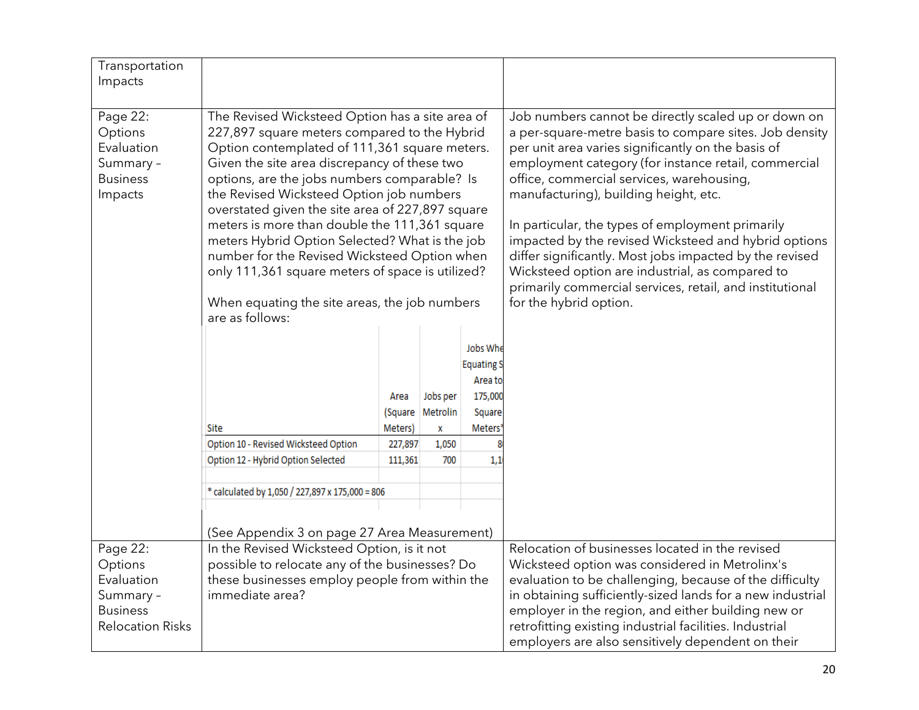| Transportation               |                                                                                              |                                            |                  |                     |                                                                                                                       |
|------------------------------|----------------------------------------------------------------------------------------------|--------------------------------------------|------------------|---------------------|-----------------------------------------------------------------------------------------------------------------------|
| Impacts                      |                                                                                              |                                            |                  |                     |                                                                                                                       |
|                              |                                                                                              |                                            |                  |                     |                                                                                                                       |
| Page 22:                     | The Revised Wicksteed Option has a site area of                                              |                                            |                  |                     | Job numbers cannot be directly scaled up or down on                                                                   |
| Options                      | 227,897 square meters compared to the Hybrid                                                 |                                            |                  |                     | a per-square-metre basis to compare sites. Job density                                                                |
| Evaluation                   | Option contemplated of 111,361 square meters.                                                |                                            |                  |                     | per unit area varies significantly on the basis of                                                                    |
| Summary -<br><b>Business</b> | Given the site area discrepancy of these two<br>options, are the jobs numbers comparable? Is |                                            |                  |                     | employment category (for instance retail, commercial<br>office, commercial services, warehousing,                     |
| Impacts                      | the Revised Wicksteed Option job numbers                                                     |                                            |                  |                     | manufacturing), building height, etc.                                                                                 |
|                              | overstated given the site area of 227,897 square                                             |                                            |                  |                     |                                                                                                                       |
|                              | meters is more than double the 111,361 square                                                |                                            |                  |                     | In particular, the types of employment primarily                                                                      |
|                              | meters Hybrid Option Selected? What is the job                                               |                                            |                  |                     | impacted by the revised Wicksteed and hybrid options                                                                  |
|                              | number for the Revised Wicksteed Option when                                                 |                                            |                  |                     | differ significantly. Most jobs impacted by the revised                                                               |
|                              | only 111,361 square meters of space is utilized?                                             |                                            |                  |                     | Wicksteed option are industrial, as compared to                                                                       |
|                              |                                                                                              |                                            |                  |                     | primarily commercial services, retail, and institutional                                                              |
|                              | When equating the site areas, the job numbers<br>are as follows:                             |                                            |                  |                     | for the hybrid option.                                                                                                |
|                              |                                                                                              |                                            |                  |                     |                                                                                                                       |
|                              |                                                                                              |                                            |                  | Jobs Whe            |                                                                                                                       |
|                              | <b>Equating S</b>                                                                            |                                            |                  |                     |                                                                                                                       |
|                              |                                                                                              |                                            |                  | Area to             |                                                                                                                       |
|                              |                                                                                              | Area                                       | Jobs per         | 175,000             |                                                                                                                       |
|                              |                                                                                              |                                            | (Square Metrolin | Square              |                                                                                                                       |
|                              | Site                                                                                         | Meters)                                    | X                | Meters <sup>®</sup> |                                                                                                                       |
|                              | Option 10 - Revised Wicksteed Option                                                         | 227,897                                    | 1,050            |                     |                                                                                                                       |
|                              | Option 12 - Hybrid Option Selected                                                           | 111,361                                    | 700              | 1,1                 |                                                                                                                       |
|                              | * calculated by 1,050 / 227,897 x 175,000 = 806                                              |                                            |                  |                     |                                                                                                                       |
|                              |                                                                                              |                                            |                  |                     |                                                                                                                       |
|                              |                                                                                              |                                            |                  |                     |                                                                                                                       |
|                              | (See Appendix 3 on page 27 Area Measurement)                                                 |                                            |                  |                     |                                                                                                                       |
| Page 22:                     |                                                                                              | In the Revised Wicksteed Option, is it not |                  |                     | Relocation of businesses located in the revised                                                                       |
| Options                      | possible to relocate any of the businesses? Do                                               |                                            |                  |                     | Wicksteed option was considered in Metrolinx's                                                                        |
| Evaluation<br>Summary -      | these businesses employ people from within the<br>immediate area?                            |                                            |                  |                     | evaluation to be challenging, because of the difficulty<br>in obtaining sufficiently-sized lands for a new industrial |
| <b>Business</b>              |                                                                                              |                                            |                  |                     | employer in the region, and either building new or                                                                    |
| <b>Relocation Risks</b>      |                                                                                              |                                            |                  |                     | retrofitting existing industrial facilities. Industrial                                                               |
|                              |                                                                                              |                                            |                  |                     | employers are also sensitively dependent on their                                                                     |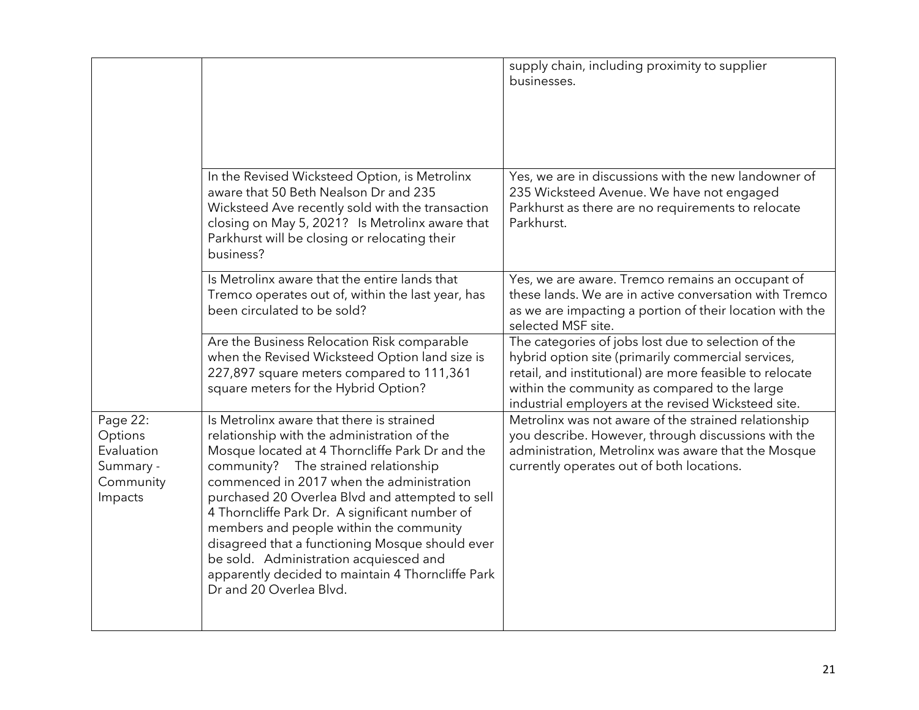|                                                                        |                                                                                                                                                                                                                                                                                                                                                                                                                                                                                                                                                               | supply chain, including proximity to supplier<br>businesses.                                                                                                                                                                                                                  |
|------------------------------------------------------------------------|---------------------------------------------------------------------------------------------------------------------------------------------------------------------------------------------------------------------------------------------------------------------------------------------------------------------------------------------------------------------------------------------------------------------------------------------------------------------------------------------------------------------------------------------------------------|-------------------------------------------------------------------------------------------------------------------------------------------------------------------------------------------------------------------------------------------------------------------------------|
|                                                                        | In the Revised Wicksteed Option, is Metrolinx<br>aware that 50 Beth Nealson Dr and 235<br>Wicksteed Ave recently sold with the transaction<br>closing on May 5, 2021? Is Metrolinx aware that<br>Parkhurst will be closing or relocating their<br>business?                                                                                                                                                                                                                                                                                                   | Yes, we are in discussions with the new landowner of<br>235 Wicksteed Avenue. We have not engaged<br>Parkhurst as there are no requirements to relocate<br>Parkhurst.                                                                                                         |
|                                                                        | Is Metrolinx aware that the entire lands that<br>Tremco operates out of, within the last year, has<br>been circulated to be sold?                                                                                                                                                                                                                                                                                                                                                                                                                             | Yes, we are aware. Tremco remains an occupant of<br>these lands. We are in active conversation with Tremco<br>as we are impacting a portion of their location with the<br>selected MSF site.                                                                                  |
|                                                                        | Are the Business Relocation Risk comparable<br>when the Revised Wicksteed Option land size is<br>227,897 square meters compared to 111,361<br>square meters for the Hybrid Option?                                                                                                                                                                                                                                                                                                                                                                            | The categories of jobs lost due to selection of the<br>hybrid option site (primarily commercial services,<br>retail, and institutional) are more feasible to relocate<br>within the community as compared to the large<br>industrial employers at the revised Wicksteed site. |
| Page 22:<br>Options<br>Evaluation<br>Summary -<br>Community<br>Impacts | Is Metrolinx aware that there is strained<br>relationship with the administration of the<br>Mosque located at 4 Thorncliffe Park Dr and the<br>community? The strained relationship<br>commenced in 2017 when the administration<br>purchased 20 Overlea Blvd and attempted to sell<br>4 Thorncliffe Park Dr. A significant number of<br>members and people within the community<br>disagreed that a functioning Mosque should ever<br>be sold. Administration acquiesced and<br>apparently decided to maintain 4 Thorncliffe Park<br>Dr and 20 Overlea Blvd. | Metrolinx was not aware of the strained relationship<br>you describe. However, through discussions with the<br>administration, Metrolinx was aware that the Mosque<br>currently operates out of both locations.                                                               |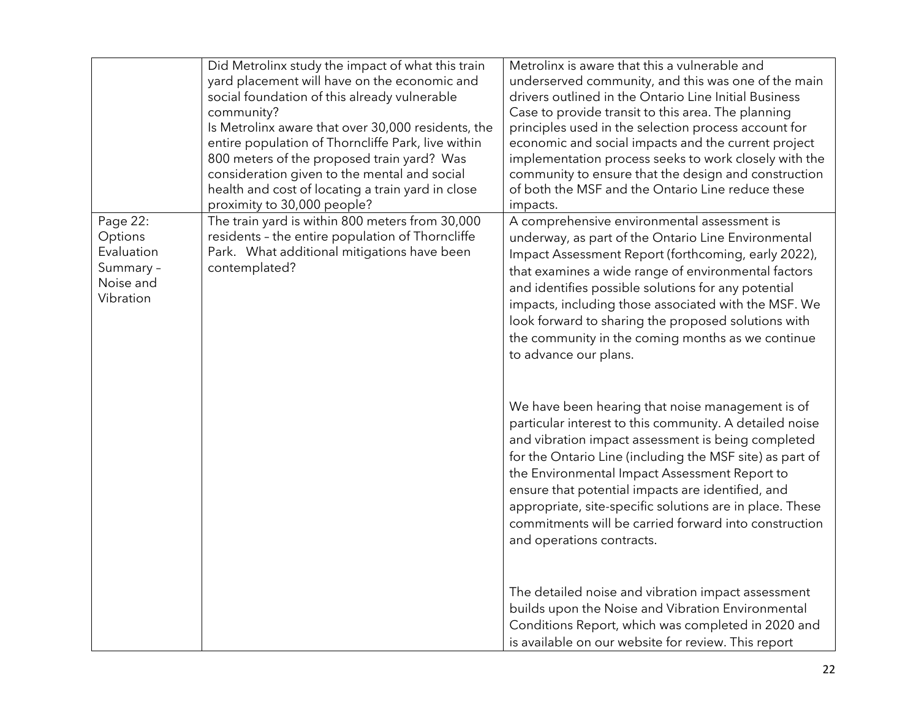|                                                                          | Did Metrolinx study the impact of what this train<br>yard placement will have on the economic and<br>social foundation of this already vulnerable<br>community?<br>Is Metrolinx aware that over 30,000 residents, the<br>entire population of Thorncliffe Park, live within<br>800 meters of the proposed train yard? Was<br>consideration given to the mental and social<br>health and cost of locating a train yard in close<br>proximity to 30,000 people? | Metrolinx is aware that this a vulnerable and<br>underserved community, and this was one of the main<br>drivers outlined in the Ontario Line Initial Business<br>Case to provide transit to this area. The planning<br>principles used in the selection process account for<br>economic and social impacts and the current project<br>implementation process seeks to work closely with the<br>community to ensure that the design and construction<br>of both the MSF and the Ontario Line reduce these<br>impacts. |
|--------------------------------------------------------------------------|---------------------------------------------------------------------------------------------------------------------------------------------------------------------------------------------------------------------------------------------------------------------------------------------------------------------------------------------------------------------------------------------------------------------------------------------------------------|----------------------------------------------------------------------------------------------------------------------------------------------------------------------------------------------------------------------------------------------------------------------------------------------------------------------------------------------------------------------------------------------------------------------------------------------------------------------------------------------------------------------|
| Page 22:<br>Options<br>Evaluation<br>Summary -<br>Noise and<br>Vibration | The train yard is within 800 meters from 30,000<br>residents - the entire population of Thorncliffe<br>Park. What additional mitigations have been<br>contemplated?                                                                                                                                                                                                                                                                                           | A comprehensive environmental assessment is<br>underway, as part of the Ontario Line Environmental<br>Impact Assessment Report (forthcoming, early 2022),<br>that examines a wide range of environmental factors<br>and identifies possible solutions for any potential<br>impacts, including those associated with the MSF. We<br>look forward to sharing the proposed solutions with<br>the community in the coming months as we continue<br>to advance our plans.                                                 |
|                                                                          |                                                                                                                                                                                                                                                                                                                                                                                                                                                               | We have been hearing that noise management is of<br>particular interest to this community. A detailed noise<br>and vibration impact assessment is being completed<br>for the Ontario Line (including the MSF site) as part of<br>the Environmental Impact Assessment Report to<br>ensure that potential impacts are identified, and<br>appropriate, site-specific solutions are in place. These<br>commitments will be carried forward into construction<br>and operations contracts.                                |
|                                                                          |                                                                                                                                                                                                                                                                                                                                                                                                                                                               | The detailed noise and vibration impact assessment<br>builds upon the Noise and Vibration Environmental<br>Conditions Report, which was completed in 2020 and<br>is available on our website for review. This report                                                                                                                                                                                                                                                                                                 |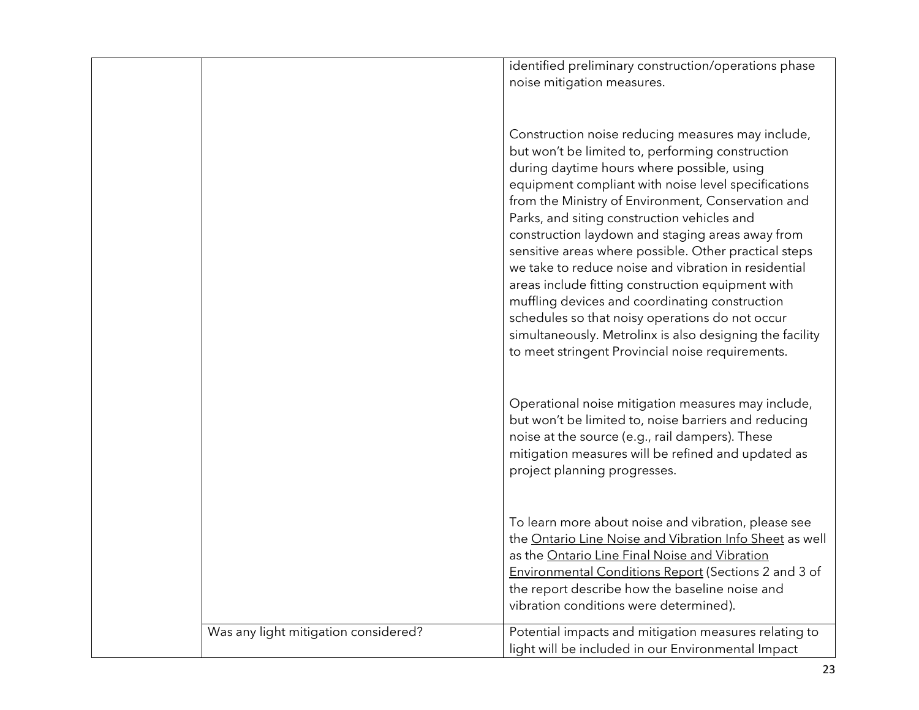|                                      | identified preliminary construction/operations phase<br>noise mitigation measures.                                                                                                                                                                                                                                                                                                                                                                                                                                                                                                                                                                                                                                                                             |
|--------------------------------------|----------------------------------------------------------------------------------------------------------------------------------------------------------------------------------------------------------------------------------------------------------------------------------------------------------------------------------------------------------------------------------------------------------------------------------------------------------------------------------------------------------------------------------------------------------------------------------------------------------------------------------------------------------------------------------------------------------------------------------------------------------------|
|                                      | Construction noise reducing measures may include,<br>but won't be limited to, performing construction<br>during daytime hours where possible, using<br>equipment compliant with noise level specifications<br>from the Ministry of Environment, Conservation and<br>Parks, and siting construction vehicles and<br>construction laydown and staging areas away from<br>sensitive areas where possible. Other practical steps<br>we take to reduce noise and vibration in residential<br>areas include fitting construction equipment with<br>muffling devices and coordinating construction<br>schedules so that noisy operations do not occur<br>simultaneously. Metrolinx is also designing the facility<br>to meet stringent Provincial noise requirements. |
|                                      | Operational noise mitigation measures may include,<br>but won't be limited to, noise barriers and reducing<br>noise at the source (e.g., rail dampers). These<br>mitigation measures will be refined and updated as<br>project planning progresses.                                                                                                                                                                                                                                                                                                                                                                                                                                                                                                            |
|                                      | To learn more about noise and vibration, please see<br>the Ontario Line Noise and Vibration Info Sheet as well<br>as the Ontario Line Final Noise and Vibration<br>Environmental Conditions Report (Sections 2 and 3 of<br>the report describe how the baseline noise and<br>vibration conditions were determined).                                                                                                                                                                                                                                                                                                                                                                                                                                            |
| Was any light mitigation considered? | Potential impacts and mitigation measures relating to<br>light will be included in our Environmental Impact                                                                                                                                                                                                                                                                                                                                                                                                                                                                                                                                                                                                                                                    |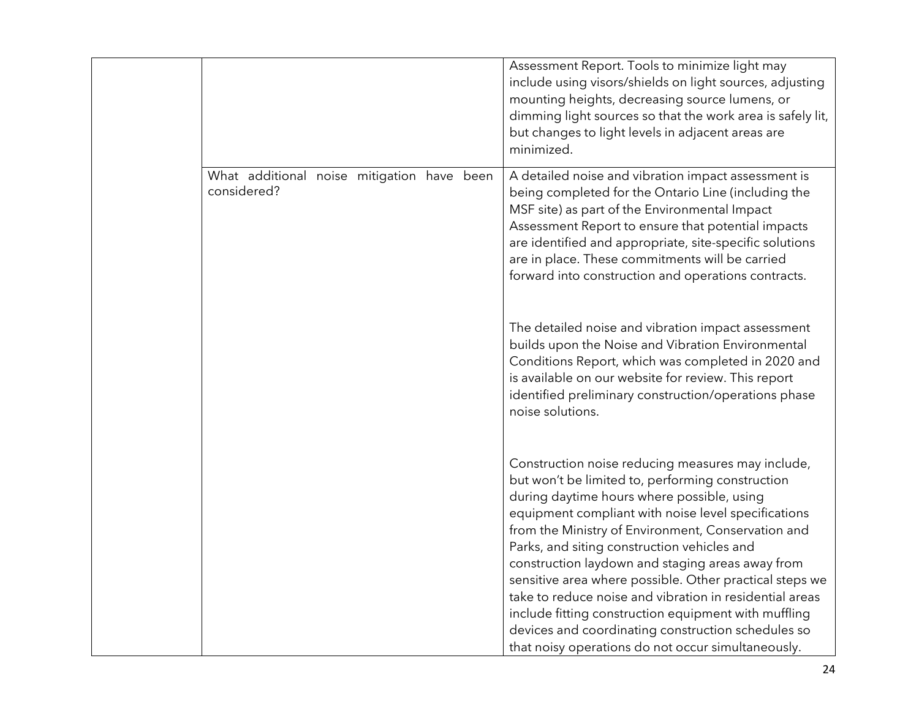|                                                           |  | Assessment Report. Tools to minimize light may<br>include using visors/shields on light sources, adjusting<br>mounting heights, decreasing source lumens, or<br>dimming light sources so that the work area is safely lit,<br>but changes to light levels in adjacent areas are<br>minimized.                                                                                                                                                                                                                                                                                                                                                                 |
|-----------------------------------------------------------|--|---------------------------------------------------------------------------------------------------------------------------------------------------------------------------------------------------------------------------------------------------------------------------------------------------------------------------------------------------------------------------------------------------------------------------------------------------------------------------------------------------------------------------------------------------------------------------------------------------------------------------------------------------------------|
| What additional noise mitigation have been<br>considered? |  | A detailed noise and vibration impact assessment is<br>being completed for the Ontario Line (including the<br>MSF site) as part of the Environmental Impact<br>Assessment Report to ensure that potential impacts<br>are identified and appropriate, site-specific solutions<br>are in place. These commitments will be carried<br>forward into construction and operations contracts.                                                                                                                                                                                                                                                                        |
|                                                           |  | The detailed noise and vibration impact assessment<br>builds upon the Noise and Vibration Environmental<br>Conditions Report, which was completed in 2020 and<br>is available on our website for review. This report<br>identified preliminary construction/operations phase<br>noise solutions.                                                                                                                                                                                                                                                                                                                                                              |
|                                                           |  | Construction noise reducing measures may include,<br>but won't be limited to, performing construction<br>during daytime hours where possible, using<br>equipment compliant with noise level specifications<br>from the Ministry of Environment, Conservation and<br>Parks, and siting construction vehicles and<br>construction laydown and staging areas away from<br>sensitive area where possible. Other practical steps we<br>take to reduce noise and vibration in residential areas<br>include fitting construction equipment with muffling<br>devices and coordinating construction schedules so<br>that noisy operations do not occur simultaneously. |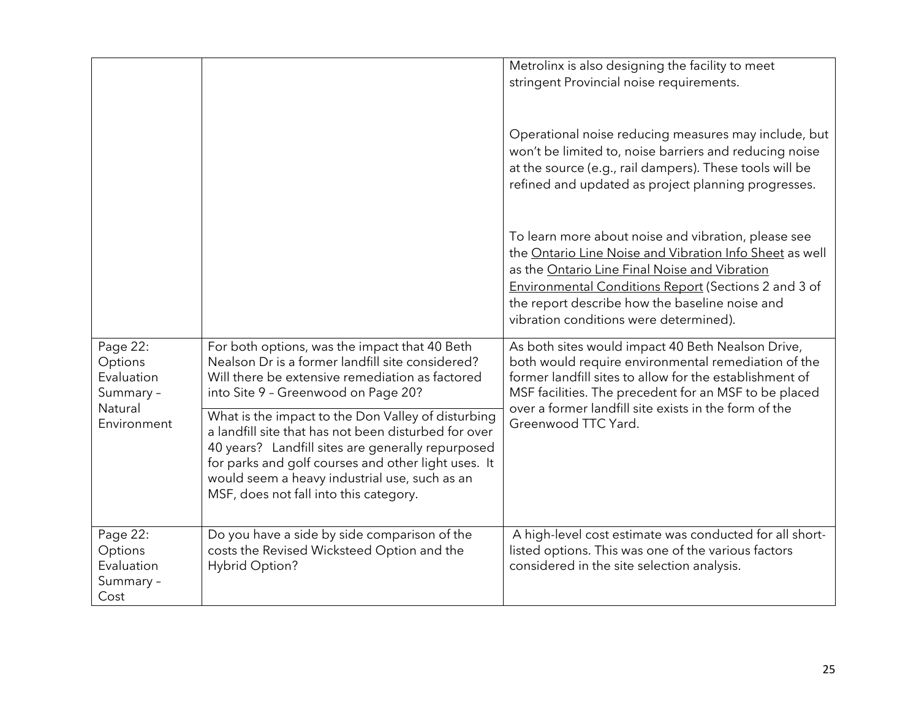|                                                                          |                                                                                                                                                                                                                                                                                                                   | Metrolinx is also designing the facility to meet<br>stringent Provincial noise requirements.                                                                                                                                                                                                                        |
|--------------------------------------------------------------------------|-------------------------------------------------------------------------------------------------------------------------------------------------------------------------------------------------------------------------------------------------------------------------------------------------------------------|---------------------------------------------------------------------------------------------------------------------------------------------------------------------------------------------------------------------------------------------------------------------------------------------------------------------|
|                                                                          |                                                                                                                                                                                                                                                                                                                   | Operational noise reducing measures may include, but<br>won't be limited to, noise barriers and reducing noise<br>at the source (e.g., rail dampers). These tools will be<br>refined and updated as project planning progresses.                                                                                    |
|                                                                          |                                                                                                                                                                                                                                                                                                                   | To learn more about noise and vibration, please see<br>the Ontario Line Noise and Vibration Info Sheet as well<br>as the Ontario Line Final Noise and Vibration<br>Environmental Conditions Report (Sections 2 and 3 of<br>the report describe how the baseline noise and<br>vibration conditions were determined). |
| Page 22:<br>Options<br>Evaluation<br>Summary -<br>Natural<br>Environment | For both options, was the impact that 40 Beth<br>Nealson Dr is a former landfill site considered?<br>Will there be extensive remediation as factored<br>into Site 9 - Greenwood on Page 20?                                                                                                                       | As both sites would impact 40 Beth Nealson Drive,<br>both would require environmental remediation of the<br>former landfill sites to allow for the establishment of<br>MSF facilities. The precedent for an MSF to be placed<br>over a former landfill site exists in the form of the<br>Greenwood TTC Yard.        |
|                                                                          | What is the impact to the Don Valley of disturbing<br>a landfill site that has not been disturbed for over<br>40 years? Landfill sites are generally repurposed<br>for parks and golf courses and other light uses. It<br>would seem a heavy industrial use, such as an<br>MSF, does not fall into this category. |                                                                                                                                                                                                                                                                                                                     |
| Page 22:<br>Options<br>Evaluation<br>Summary -<br>Cost                   | Do you have a side by side comparison of the<br>costs the Revised Wicksteed Option and the<br>Hybrid Option?                                                                                                                                                                                                      | A high-level cost estimate was conducted for all short-<br>listed options. This was one of the various factors<br>considered in the site selection analysis.                                                                                                                                                        |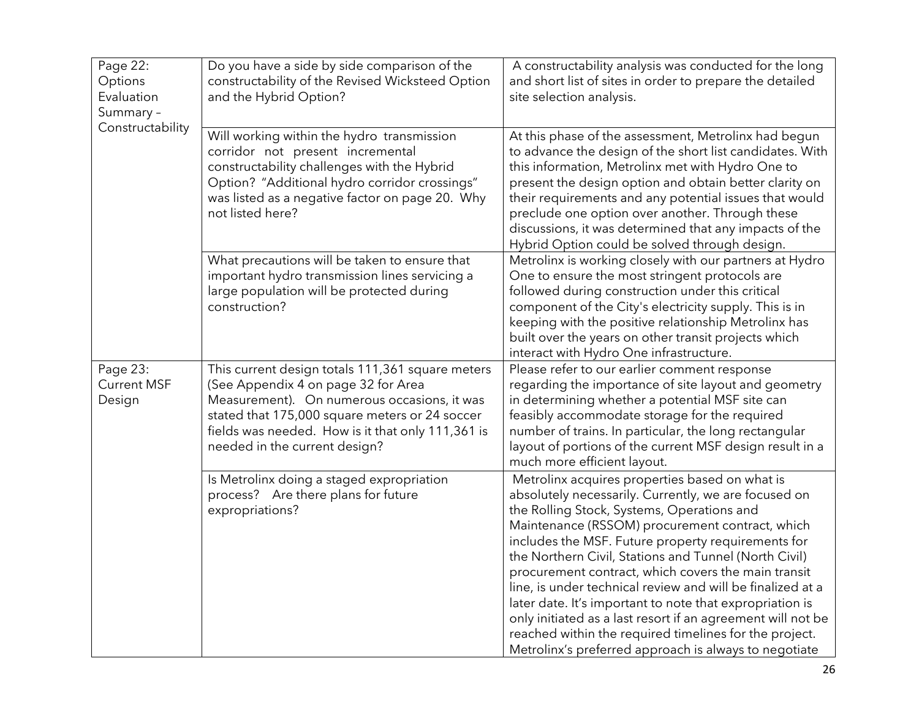| Page 22:<br>Options<br>Evaluation<br>Summary -<br>Constructability | Do you have a side by side comparison of the<br>constructability of the Revised Wicksteed Option<br>and the Hybrid Option?                                                                                                                                                     | A constructability analysis was conducted for the long<br>and short list of sites in order to prepare the detailed<br>site selection analysis.                                                                                                                                                                                                                                                                                                                                                                                                                                                                                                                                            |
|--------------------------------------------------------------------|--------------------------------------------------------------------------------------------------------------------------------------------------------------------------------------------------------------------------------------------------------------------------------|-------------------------------------------------------------------------------------------------------------------------------------------------------------------------------------------------------------------------------------------------------------------------------------------------------------------------------------------------------------------------------------------------------------------------------------------------------------------------------------------------------------------------------------------------------------------------------------------------------------------------------------------------------------------------------------------|
|                                                                    | Will working within the hydro transmission<br>corridor not present incremental<br>constructability challenges with the Hybrid<br>Option? "Additional hydro corridor crossings"<br>was listed as a negative factor on page 20. Why<br>not listed here?                          | At this phase of the assessment, Metrolinx had begun<br>to advance the design of the short list candidates. With<br>this information, Metrolinx met with Hydro One to<br>present the design option and obtain better clarity on<br>their requirements and any potential issues that would<br>preclude one option over another. Through these<br>discussions, it was determined that any impacts of the<br>Hybrid Option could be solved through design.                                                                                                                                                                                                                                   |
|                                                                    | What precautions will be taken to ensure that<br>important hydro transmission lines servicing a<br>large population will be protected during<br>construction?                                                                                                                  | Metrolinx is working closely with our partners at Hydro<br>One to ensure the most stringent protocols are<br>followed during construction under this critical<br>component of the City's electricity supply. This is in<br>keeping with the positive relationship Metrolinx has<br>built over the years on other transit projects which<br>interact with Hydro One infrastructure.                                                                                                                                                                                                                                                                                                        |
| Page 23:<br><b>Current MSF</b><br>Design                           | This current design totals 111,361 square meters<br>(See Appendix 4 on page 32 for Area<br>Measurement). On numerous occasions, it was<br>stated that 175,000 square meters or 24 soccer<br>fields was needed. How is it that only 111,361 is<br>needed in the current design? | Please refer to our earlier comment response<br>regarding the importance of site layout and geometry<br>in determining whether a potential MSF site can<br>feasibly accommodate storage for the required<br>number of trains. In particular, the long rectangular<br>layout of portions of the current MSF design result in a<br>much more efficient layout.                                                                                                                                                                                                                                                                                                                              |
|                                                                    | Is Metrolinx doing a staged expropriation<br>process? Are there plans for future<br>expropriations?                                                                                                                                                                            | Metrolinx acquires properties based on what is<br>absolutely necessarily. Currently, we are focused on<br>the Rolling Stock, Systems, Operations and<br>Maintenance (RSSOM) procurement contract, which<br>includes the MSF. Future property requirements for<br>the Northern Civil, Stations and Tunnel (North Civil)<br>procurement contract, which covers the main transit<br>line, is under technical review and will be finalized at a<br>later date. It's important to note that expropriation is<br>only initiated as a last resort if an agreement will not be<br>reached within the required timelines for the project.<br>Metrolinx's preferred approach is always to negotiate |